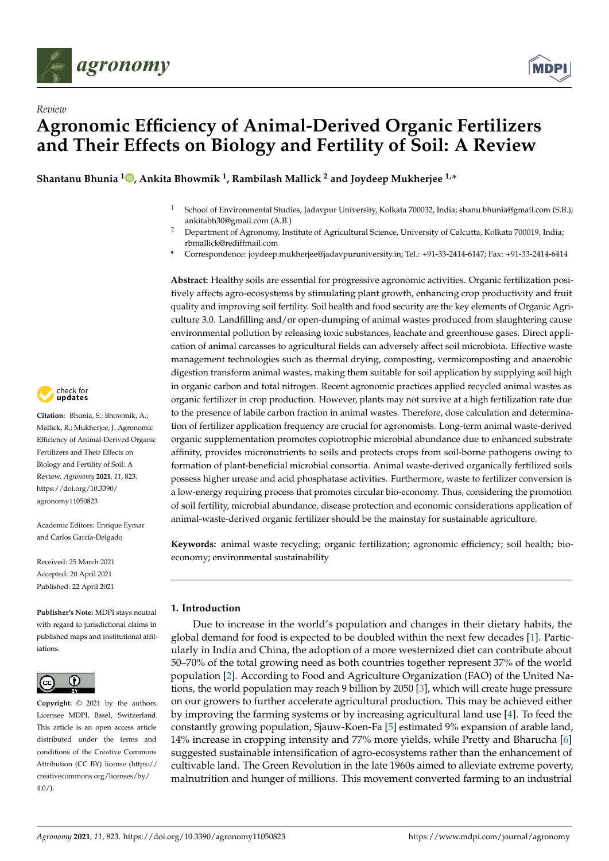

*Review*



# **Agronomic Efficiency of Animal-Derived Organic Fertilizers and Their Effects on Biology and Fertility of Soil: A Review**

**Shantanu Bhunia <sup>1</sup> , Ankita Bhowmik <sup>1</sup> , Rambilash Mallick <sup>2</sup> and Joydeep Mukherjee 1,\***

- <sup>1</sup> School of Environmental Studies, Jadavpur University, Kolkata 700032, India; shanu.bhunia@gmail.com (S.B.); ankitabh30@gmail.com (A.B.)
- <sup>2</sup> Department of Agronomy, Institute of Agricultural Science, University of Calcutta, Kolkata 700019, India; rbmallick@rediffmail.com
- **\*** Correspondence: joydeep.mukherjee@jadavpuruniversity.in; Tel.: +91-33-2414-6147; Fax: +91-33-2414-6414

**Abstract:** Healthy soils are essential for progressive agronomic activities. Organic fertilization positively affects agro-ecosystems by stimulating plant growth, enhancing crop productivity and fruit quality and improving soil fertility. Soil health and food security are the key elements of Organic Agriculture 3.0. Landfilling and/or open-dumping of animal wastes produced from slaughtering cause environmental pollution by releasing toxic substances, leachate and greenhouse gases. Direct application of animal carcasses to agricultural fields can adversely affect soil microbiota. Effective waste management technologies such as thermal drying, composting, vermicomposting and anaerobic digestion transform animal wastes, making them suitable for soil application by supplying soil high in organic carbon and total nitrogen. Recent agronomic practices applied recycled animal wastes as organic fertilizer in crop production. However, plants may not survive at a high fertilization rate due to the presence of labile carbon fraction in animal wastes. Therefore, dose calculation and determination of fertilizer application frequency are crucial for agronomists. Long-term animal waste-derived organic supplementation promotes copiotrophic microbial abundance due to enhanced substrate affinity, provides micronutrients to soils and protects crops from soil-borne pathogens owing to formation of plant-beneficial microbial consortia. Animal waste-derived organically fertilized soils possess higher urease and acid phosphatase activities. Furthermore, waste to fertilizer conversion is a low-energy requiring process that promotes circular bio-economy. Thus, considering the promotion of soil fertility, microbial abundance, disease protection and economic considerations application of animal-waste-derived organic fertilizer should be the mainstay for sustainable agriculture.

**Keywords:** animal waste recycling; organic fertilization; agronomic efficiency; soil health; bioeconomy; environmental sustainability

# **1. Introduction**

Due to increase in the world's population and changes in their dietary habits, the global demand for food is expected to be doubled within the next few decades [1]. Particularly in India and China, the adoption of a more westernized diet can contribute about 50–70% of the total growing need as both countries together represent 37% of the world population [2]. According to Food and Agriculture Organization (FAO) of the United Nations, the world population may reach 9 billion by 2050 [3], which will create huge pressure on our growers to further accelerate agricultural production. This may be achieved either by improving the farming systems or by increasing agricultural land use [4]. To feed the constantly growing population, Sjauw-Koen-Fa [5] estimated 9% expansion of arable land, 14% increase in cropping intensity and 77% more yields, while Pretty and Bharucha [6] suggested sustainable intensification of agro-ecosystems rather than the enhancement of cultivable land. The Green Revolution in the late 1960s aimed to alleviate extreme poverty, malnutrition and hunger of millions. This movement converted farming to an industrial



**Citation:** Bhunia, S.; Bhowmik, A.; Mallick, R.; Mukherjee, J. Agronomic Efficiency of Animal-Derived Organic Fertilizers and Their Effects on Biology and Fertility of Soil: A Review. *Agronomy* **2021**, *11*, 823. https://doi.org/10.3390/ agronomy11050823

Academic Editors: Enrique Eymar and Carlos García-Delgado

Received: 25 March 2021 Accepted: 20 April 2021 Published: 22 April 2021

**Publisher's Note:** MDPI stays neutral with regard to jurisdictional claims in published maps and institutional affiliations.



**Copyright:** © 2021 by the authors. Licensee MDPI, Basel, Switzerland. This article is an open access article distributed under the terms and conditions of the Creative Commons Attribution (CC BY) license (https:// creativecommons.org/licenses/by/  $4.0/$ ).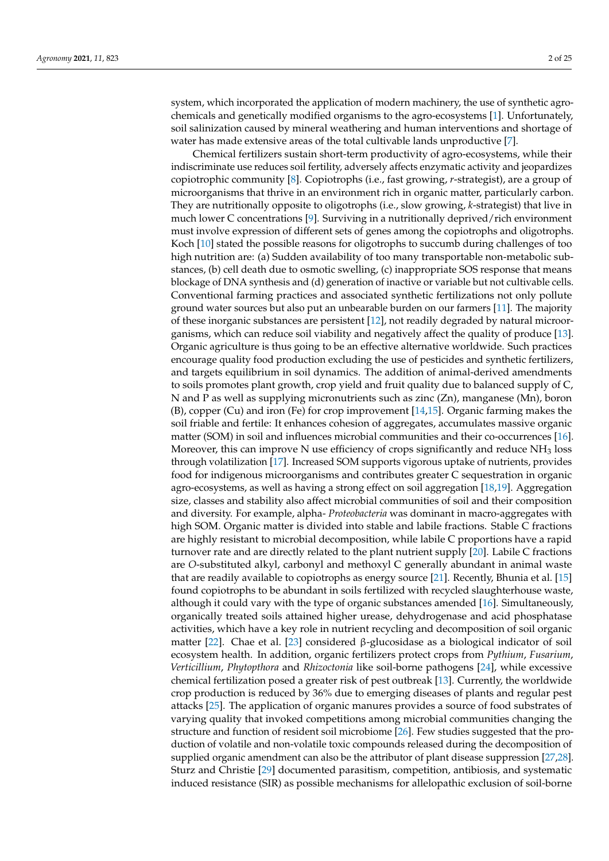system, which incorporated the application of modern machinery, the use of synthetic agrochemicals and genetically modified organisms to the agro-ecosystems [1]. Unfortunately, soil salinization caused by mineral weathering and human interventions and shortage of water has made extensive areas of the total cultivable lands unproductive [7].

Chemical fertilizers sustain short-term productivity of agro-ecosystems, while their indiscriminate use reduces soil fertility, adversely affects enzymatic activity and jeopardizes copiotrophic community [8]. Copiotrophs (i.e., fast growing, *r*-strategist), are a group of microorganisms that thrive in an environment rich in organic matter, particularly carbon. They are nutritionally opposite to oligotrophs (i.e., slow growing, *k*-strategist) that live in much lower C concentrations [9]. Surviving in a nutritionally deprived/rich environment must involve expression of different sets of genes among the copiotrophs and oligotrophs. Koch [10] stated the possible reasons for oligotrophs to succumb during challenges of too high nutrition are: (a) Sudden availability of too many transportable non-metabolic substances, (b) cell death due to osmotic swelling, (c) inappropriate SOS response that means blockage of DNA synthesis and (d) generation of inactive or variable but not cultivable cells. Conventional farming practices and associated synthetic fertilizations not only pollute ground water sources but also put an unbearable burden on our farmers [11]. The majority of these inorganic substances are persistent [12], not readily degraded by natural microorganisms, which can reduce soil viability and negatively affect the quality of produce [13]. Organic agriculture is thus going to be an effective alternative worldwide. Such practices encourage quality food production excluding the use of pesticides and synthetic fertilizers, and targets equilibrium in soil dynamics. The addition of animal-derived amendments to soils promotes plant growth, crop yield and fruit quality due to balanced supply of C, N and P as well as supplying micronutrients such as zinc  $(Zn)$ , manganese  $(Mn)$ , boron (B), copper (Cu) and iron (Fe) for crop improvement [14,15]. Organic farming makes the soil friable and fertile: It enhances cohesion of aggregates, accumulates massive organic matter (SOM) in soil and influences microbial communities and their co-occurrences [16]. Moreover, this can improve N use efficiency of crops significantly and reduce  $NH<sub>3</sub>$  loss through volatilization [17]. Increased SOM supports vigorous uptake of nutrients, provides food for indigenous microorganisms and contributes greater C sequestration in organic agro-ecosystems, as well as having a strong effect on soil aggregation [18,19]. Aggregation size, classes and stability also affect microbial communities of soil and their composition and diversity. For example, alpha- *Proteobacteria* was dominant in macro-aggregates with high SOM. Organic matter is divided into stable and labile fractions. Stable C fractions are highly resistant to microbial decomposition, while labile C proportions have a rapid turnover rate and are directly related to the plant nutrient supply [20]. Labile C fractions are *O*-substituted alkyl, carbonyl and methoxyl C generally abundant in animal waste that are readily available to copiotrophs as energy source [21]. Recently, Bhunia et al. [15] found copiotrophs to be abundant in soils fertilized with recycled slaughterhouse waste, although it could vary with the type of organic substances amended [16]. Simultaneously, organically treated soils attained higher urease, dehydrogenase and acid phosphatase activities, which have a key role in nutrient recycling and decomposition of soil organic matter [22]. Chae et al. [23] considered β-glucosidase as a biological indicator of soil ecosystem health. In addition, organic fertilizers protect crops from *Pythium*, *Fusarium*, *Verticillium*, *Phytopthora* and *Rhizoctonia* like soil-borne pathogens [24], while excessive chemical fertilization posed a greater risk of pest outbreak [13]. Currently, the worldwide crop production is reduced by 36% due to emerging diseases of plants and regular pest attacks [25]. The application of organic manures provides a source of food substrates of varying quality that invoked competitions among microbial communities changing the structure and function of resident soil microbiome [26]. Few studies suggested that the production of volatile and non-volatile toxic compounds released during the decomposition of supplied organic amendment can also be the attributor of plant disease suppression [27,28]. Sturz and Christie [29] documented parasitism, competition, antibiosis, and systematic induced resistance (SIR) as possible mechanisms for allelopathic exclusion of soil-borne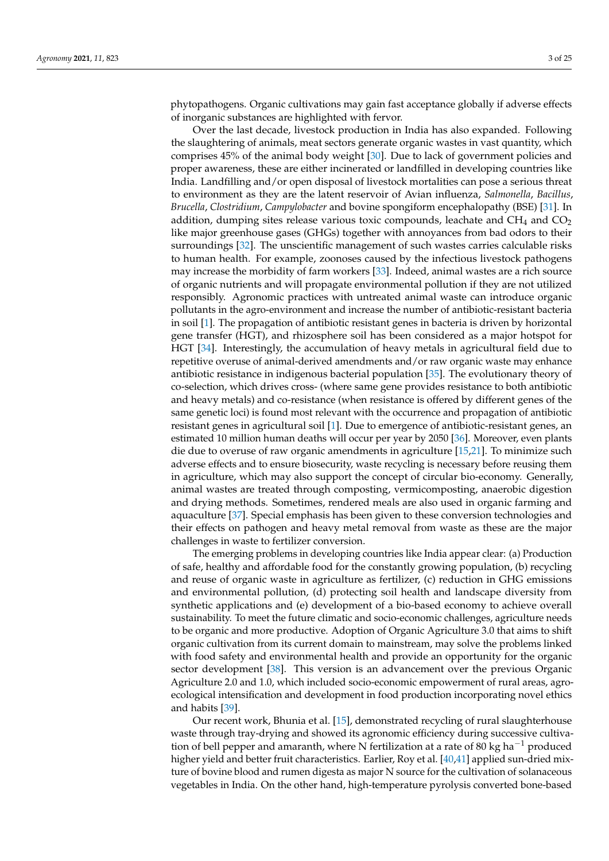phytopathogens. Organic cultivations may gain fast acceptance globally if adverse effects of inorganic substances are highlighted with fervor.

Over the last decade, livestock production in India has also expanded. Following the slaughtering of animals, meat sectors generate organic wastes in vast quantity, which comprises 45% of the animal body weight [30]. Due to lack of government policies and proper awareness, these are either incinerated or landfilled in developing countries like India. Landfilling and/or open disposal of livestock mortalities can pose a serious threat to environment as they are the latent reservoir of Avian influenza, *Salmonella*, *Bacillus*, *Brucella*, *Clostridium*, *Campylobacter* and bovine spongiform encephalopathy (BSE) [31]. In addition, dumping sites release various toxic compounds, leachate and  $CH<sub>4</sub>$  and  $CO<sub>2</sub>$ like major greenhouse gases (GHGs) together with annoyances from bad odors to their surroundings [32]. The unscientific management of such wastes carries calculable risks to human health. For example, zoonoses caused by the infectious livestock pathogens may increase the morbidity of farm workers [33]. Indeed, animal wastes are a rich source of organic nutrients and will propagate environmental pollution if they are not utilized responsibly. Agronomic practices with untreated animal waste can introduce organic pollutants in the agro-environment and increase the number of antibiotic-resistant bacteria in soil [1]. The propagation of antibiotic resistant genes in bacteria is driven by horizontal gene transfer (HGT), and rhizosphere soil has been considered as a major hotspot for HGT [34]. Interestingly, the accumulation of heavy metals in agricultural field due to repetitive overuse of animal-derived amendments and/or raw organic waste may enhance antibiotic resistance in indigenous bacterial population [35]. The evolutionary theory of co-selection, which drives cross- (where same gene provides resistance to both antibiotic and heavy metals) and co-resistance (when resistance is offered by different genes of the same genetic loci) is found most relevant with the occurrence and propagation of antibiotic resistant genes in agricultural soil [1]. Due to emergence of antibiotic-resistant genes, an estimated 10 million human deaths will occur per year by 2050 [36]. Moreover, even plants die due to overuse of raw organic amendments in agriculture [15,21]. To minimize such adverse effects and to ensure biosecurity, waste recycling is necessary before reusing them in agriculture, which may also support the concept of circular bio-economy. Generally, animal wastes are treated through composting, vermicomposting, anaerobic digestion and drying methods. Sometimes, rendered meals are also used in organic farming and aquaculture [37]. Special emphasis has been given to these conversion technologies and their effects on pathogen and heavy metal removal from waste as these are the major challenges in waste to fertilizer conversion.

The emerging problems in developing countries like India appear clear: (a) Production of safe, healthy and affordable food for the constantly growing population, (b) recycling and reuse of organic waste in agriculture as fertilizer, (c) reduction in GHG emissions and environmental pollution, (d) protecting soil health and landscape diversity from synthetic applications and (e) development of a bio-based economy to achieve overall sustainability. To meet the future climatic and socio-economic challenges, agriculture needs to be organic and more productive. Adoption of Organic Agriculture 3.0 that aims to shift organic cultivation from its current domain to mainstream, may solve the problems linked with food safety and environmental health and provide an opportunity for the organic sector development [38]. This version is an advancement over the previous Organic Agriculture 2.0 and 1.0, which included socio-economic empowerment of rural areas, agroecological intensification and development in food production incorporating novel ethics and habits [39].

Our recent work, Bhunia et al. [15], demonstrated recycling of rural slaughterhouse waste through tray-drying and showed its agronomic efficiency during successive cultivation of bell pepper and amaranth, where N fertilization at a rate of 80 kg ha<sup>-1</sup> produced higher yield and better fruit characteristics. Earlier, Roy et al. [40,41] applied sun-dried mixture of bovine blood and rumen digesta as major N source for the cultivation of solanaceous vegetables in India. On the other hand, high-temperature pyrolysis converted bone-based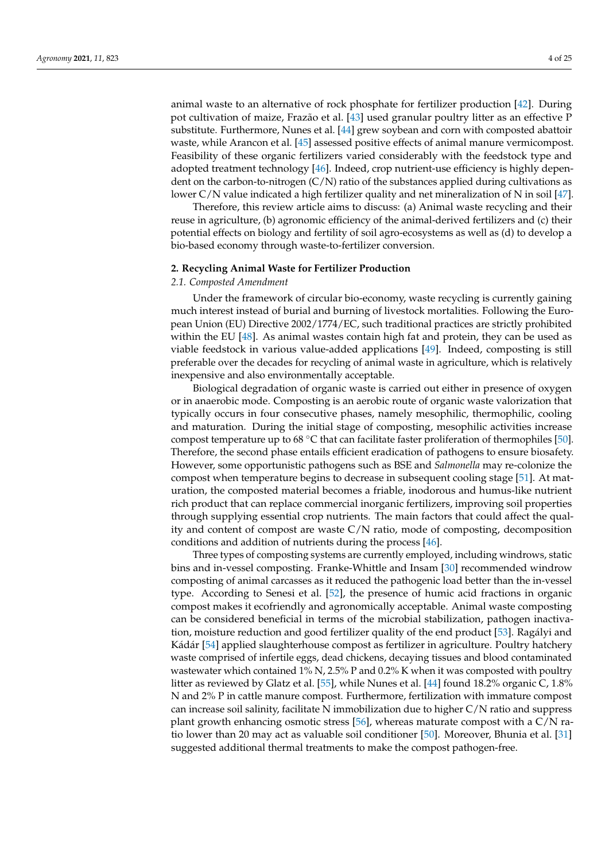animal waste to an alternative of rock phosphate for fertilizer production [42]. During pot cultivation of maize, Frazão et al. [43] used granular poultry litter as an effective P substitute. Furthermore, Nunes et al. [44] grew soybean and corn with composted abattoir waste, while Arancon et al. [45] assessed positive effects of animal manure vermicompost. Feasibility of these organic fertilizers varied considerably with the feedstock type and adopted treatment technology [46]. Indeed, crop nutrient-use efficiency is highly dependent on the carbon-to-nitrogen (C/N) ratio of the substances applied during cultivations as lower C/N value indicated a high fertilizer quality and net mineralization of N in soil [47].

Therefore, this review article aims to discuss: (a) Animal waste recycling and their reuse in agriculture, (b) agronomic efficiency of the animal-derived fertilizers and (c) their potential effects on biology and fertility of soil agro-ecosystems as well as (d) to develop a bio-based economy through waste-to-fertilizer conversion.

## **2. Recycling Animal Waste for Fertilizer Production**

#### *2.1. Composted Amendment*

Under the framework of circular bio-economy, waste recycling is currently gaining much interest instead of burial and burning of livestock mortalities. Following the European Union (EU) Directive 2002/1774/EC, such traditional practices are strictly prohibited within the EU  $[48]$ . As animal wastes contain high fat and protein, they can be used as viable feedstock in various value-added applications [49]. Indeed, composting is still preferable over the decades for recycling of animal waste in agriculture, which is relatively inexpensive and also environmentally acceptable.

Biological degradation of organic waste is carried out either in presence of oxygen or in anaerobic mode. Composting is an aerobic route of organic waste valorization that typically occurs in four consecutive phases, namely mesophilic, thermophilic, cooling and maturation. During the initial stage of composting, mesophilic activities increase compost temperature up to 68 ◦C that can facilitate faster proliferation of thermophiles [50]. Therefore, the second phase entails efficient eradication of pathogens to ensure biosafety. However, some opportunistic pathogens such as BSE and *Salmonella* may re-colonize the compost when temperature begins to decrease in subsequent cooling stage [51]. At maturation, the composted material becomes a friable, inodorous and humus-like nutrient rich product that can replace commercial inorganic fertilizers, improving soil properties through supplying essential crop nutrients. The main factors that could affect the quality and content of compost are waste C/N ratio, mode of composting, decomposition conditions and addition of nutrients during the process [46].

Three types of composting systems are currently employed, including windrows, static bins and in-vessel composting. Franke-Whittle and Insam [30] recommended windrow composting of animal carcasses as it reduced the pathogenic load better than the in-vessel type. According to Senesi et al. [52], the presence of humic acid fractions in organic compost makes it ecofriendly and agronomically acceptable. Animal waste composting can be considered beneficial in terms of the microbial stabilization, pathogen inactivation, moisture reduction and good fertilizer quality of the end product [53]. Ragályi and Kádár [54] applied slaughterhouse compost as fertilizer in agriculture. Poultry hatchery waste comprised of infertile eggs, dead chickens, decaying tissues and blood contaminated wastewater which contained 1% N, 2.5% P and 0.2% K when it was composted with poultry litter as reviewed by Glatz et al. [55], while Nunes et al. [44] found 18.2% organic C, 1.8% N and 2% P in cattle manure compost. Furthermore, fertilization with immature compost can increase soil salinity, facilitate N immobilization due to higher C/N ratio and suppress plant growth enhancing osmotic stress [56], whereas maturate compost with a C/N ratio lower than 20 may act as valuable soil conditioner [50]. Moreover, Bhunia et al. [31] suggested additional thermal treatments to make the compost pathogen-free.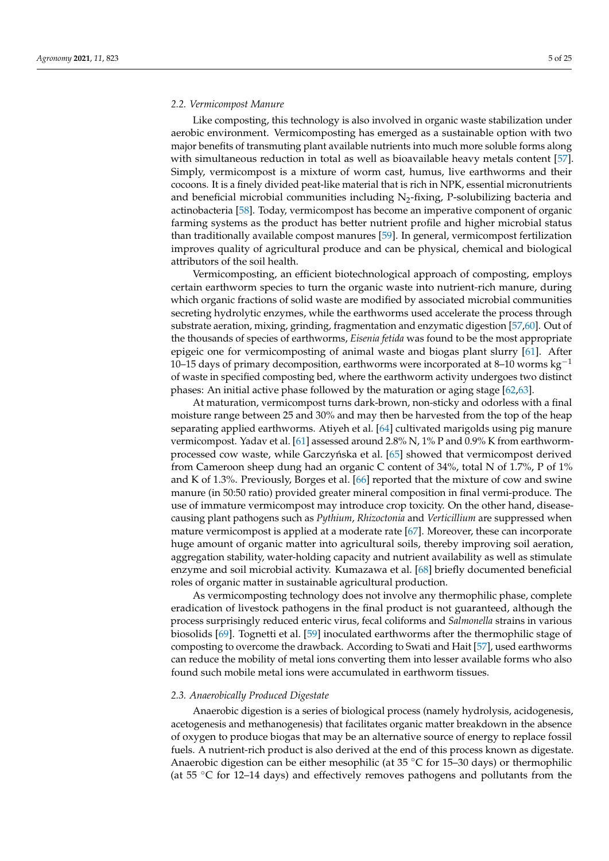#### *2.2. Vermicompost Manure*

Like composting, this technology is also involved in organic waste stabilization under aerobic environment. Vermicomposting has emerged as a sustainable option with two major benefits of transmuting plant available nutrients into much more soluble forms along with simultaneous reduction in total as well as bioavailable heavy metals content [57]. Simply, vermicompost is a mixture of worm cast, humus, live earthworms and their cocoons. It is a finely divided peat-like material that is rich in NPK, essential micronutrients and beneficial microbial communities including  $N_2$ -fixing, P-solubilizing bacteria and actinobacteria [58]. Today, vermicompost has become an imperative component of organic farming systems as the product has better nutrient profile and higher microbial status than traditionally available compost manures [59]. In general, vermicompost fertilization improves quality of agricultural produce and can be physical, chemical and biological attributors of the soil health.

Vermicomposting, an efficient biotechnological approach of composting, employs certain earthworm species to turn the organic waste into nutrient-rich manure, during which organic fractions of solid waste are modified by associated microbial communities secreting hydrolytic enzymes, while the earthworms used accelerate the process through substrate aeration, mixing, grinding, fragmentation and enzymatic digestion [57,60]. Out of the thousands of species of earthworms, *Eisenia fetida* was found to be the most appropriate epigeic one for vermicomposting of animal waste and biogas plant slurry [61]. After 10–15 days of primary decomposition, earthworms were incorporated at 8–10 worms kg<sup>-1</sup> of waste in specified composting bed, where the earthworm activity undergoes two distinct phases: An initial active phase followed by the maturation or aging stage [62,63].

At maturation, vermicompost turns dark-brown, non-sticky and odorless with a final moisture range between 25 and 30% and may then be harvested from the top of the heap separating applied earthworms. Atiyeh et al. [64] cultivated marigolds using pig manure vermicompost. Yadav et al. [61] assessed around 2.8% N, 1% P and 0.9% K from earthwormprocessed cow waste, while Garczyńska et al. [65] showed that vermicompost derived from Cameroon sheep dung had an organic C content of 34%, total N of 1.7%, P of 1% and K of 1.3%. Previously, Borges et al. [66] reported that the mixture of cow and swine manure (in 50:50 ratio) provided greater mineral composition in final vermi-produce. The use of immature vermicompost may introduce crop toxicity. On the other hand, diseasecausing plant pathogens such as *Pythium*, *Rhizoctonia* and *Verticillium* are suppressed when mature vermicompost is applied at a moderate rate [67]. Moreover, these can incorporate huge amount of organic matter into agricultural soils, thereby improving soil aeration, aggregation stability, water-holding capacity and nutrient availability as well as stimulate enzyme and soil microbial activity. Kumazawa et al. [68] briefly documented beneficial roles of organic matter in sustainable agricultural production.

As vermicomposting technology does not involve any thermophilic phase, complete eradication of livestock pathogens in the final product is not guaranteed, although the process surprisingly reduced enteric virus, fecal coliforms and *Salmonella* strains in various biosolids [69]. Tognetti et al. [59] inoculated earthworms after the thermophilic stage of composting to overcome the drawback. According to Swati and Hait [57], used earthworms can reduce the mobility of metal ions converting them into lesser available forms who also found such mobile metal ions were accumulated in earthworm tissues.

#### *2.3. Anaerobically Produced Digestate*

Anaerobic digestion is a series of biological process (namely hydrolysis, acidogenesis, acetogenesis and methanogenesis) that facilitates organic matter breakdown in the absence of oxygen to produce biogas that may be an alternative source of energy to replace fossil fuels. A nutrient-rich product is also derived at the end of this process known as digestate. Anaerobic digestion can be either mesophilic (at  $35\textdegree C$  for 15–30 days) or thermophilic (at 55 ◦C for 12–14 days) and effectively removes pathogens and pollutants from the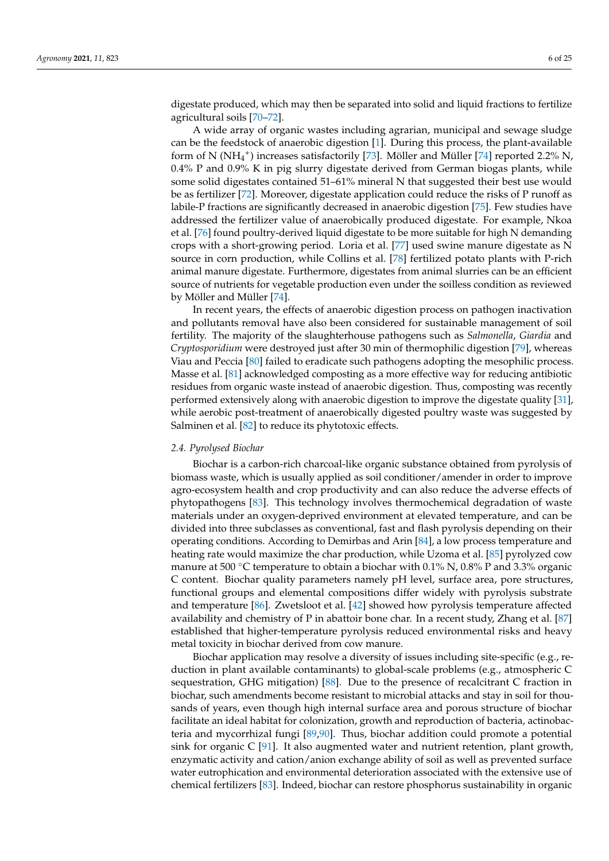digestate produced, which may then be separated into solid and liquid fractions to fertilize agricultural soils [70–72].

A wide array of organic wastes including agrarian, municipal and sewage sludge can be the feedstock of anaerobic digestion [1]. During this process, the plant-available form of N (NH<sub>4</sub><sup>+</sup>) increases satisfactorily [73]. Möller and Müller [74] reported 2.2% N, 0.4% P and 0.9% K in pig slurry digestate derived from German biogas plants, while some solid digestates contained 51–61% mineral N that suggested their best use would be as fertilizer [72]. Moreover, digestate application could reduce the risks of P runoff as labile-P fractions are significantly decreased in anaerobic digestion [75]. Few studies have addressed the fertilizer value of anaerobically produced digestate. For example, Nkoa et al. [76] found poultry-derived liquid digestate to be more suitable for high N demanding crops with a short-growing period. Loria et al. [77] used swine manure digestate as N source in corn production, while Collins et al. [78] fertilized potato plants with P-rich animal manure digestate. Furthermore, digestates from animal slurries can be an efficient source of nutrients for vegetable production even under the soilless condition as reviewed by Möller and Müller [74].

In recent years, the effects of anaerobic digestion process on pathogen inactivation and pollutants removal have also been considered for sustainable management of soil fertility. The majority of the slaughterhouse pathogens such as *Salmonella*, *Giardia* and *Cryptosporidium* were destroyed just after 30 min of thermophilic digestion [79], whereas Viau and Peccia [80] failed to eradicate such pathogens adopting the mesophilic process. Masse et al. [81] acknowledged composting as a more effective way for reducing antibiotic residues from organic waste instead of anaerobic digestion. Thus, composting was recently performed extensively along with anaerobic digestion to improve the digestate quality [31], while aerobic post-treatment of anaerobically digested poultry waste was suggested by Salminen et al. [82] to reduce its phytotoxic effects.

### *2.4. Pyrolysed Biochar*

Biochar is a carbon-rich charcoal-like organic substance obtained from pyrolysis of biomass waste, which is usually applied as soil conditioner/amender in order to improve agro-ecosystem health and crop productivity and can also reduce the adverse effects of phytopathogens [83]. This technology involves thermochemical degradation of waste materials under an oxygen-deprived environment at elevated temperature, and can be divided into three subclasses as conventional, fast and flash pyrolysis depending on their operating conditions. According to Demirbas and Arin [84], a low process temperature and heating rate would maximize the char production, while Uzoma et al. [85] pyrolyzed cow manure at 500  $\degree$ C temperature to obtain a biochar with 0.1% N, 0.8% P and 3.3% organic C content. Biochar quality parameters namely pH level, surface area, pore structures, functional groups and elemental compositions differ widely with pyrolysis substrate and temperature [86]. Zwetsloot et al. [42] showed how pyrolysis temperature affected availability and chemistry of P in abattoir bone char. In a recent study, Zhang et al. [87] established that higher-temperature pyrolysis reduced environmental risks and heavy metal toxicity in biochar derived from cow manure.

Biochar application may resolve a diversity of issues including site-specific (e.g., reduction in plant available contaminants) to global-scale problems (e.g., atmospheric C sequestration, GHG mitigation) [88]. Due to the presence of recalcitrant C fraction in biochar, such amendments become resistant to microbial attacks and stay in soil for thousands of years, even though high internal surface area and porous structure of biochar facilitate an ideal habitat for colonization, growth and reproduction of bacteria, actinobacteria and mycorrhizal fungi [89,90]. Thus, biochar addition could promote a potential sink for organic C [91]. It also augmented water and nutrient retention, plant growth, enzymatic activity and cation/anion exchange ability of soil as well as prevented surface water eutrophication and environmental deterioration associated with the extensive use of chemical fertilizers [83]. Indeed, biochar can restore phosphorus sustainability in organic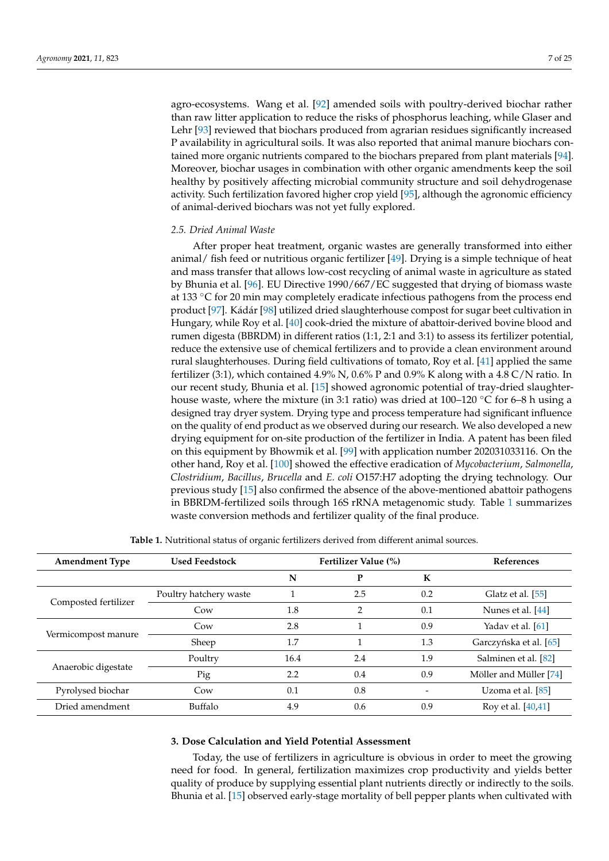agro-ecosystems. Wang et al. [92] amended soils with poultry-derived biochar rather than raw litter application to reduce the risks of phosphorus leaching, while Glaser and Lehr [93] reviewed that biochars produced from agrarian residues significantly increased P availability in agricultural soils. It was also reported that animal manure biochars contained more organic nutrients compared to the biochars prepared from plant materials [94]. Moreover, biochar usages in combination with other organic amendments keep the soil healthy by positively affecting microbial community structure and soil dehydrogenase activity. Such fertilization favored higher crop yield [95], although the agronomic efficiency of animal-derived biochars was not yet fully explored.

# *2.5. Dried Animal Waste*

After proper heat treatment, organic wastes are generally transformed into either animal/ fish feed or nutritious organic fertilizer [49]. Drying is a simple technique of heat and mass transfer that allows low-cost recycling of animal waste in agriculture as stated by Bhunia et al. [96]. EU Directive 1990/667/EC suggested that drying of biomass waste at 133 ◦C for 20 min may completely eradicate infectious pathogens from the process end product [97]. Kádár [98] utilized dried slaughterhouse compost for sugar beet cultivation in Hungary, while Roy et al. [40] cook-dried the mixture of abattoir-derived bovine blood and rumen digesta (BBRDM) in different ratios (1:1, 2:1 and 3:1) to assess its fertilizer potential, reduce the extensive use of chemical fertilizers and to provide a clean environment around rural slaughterhouses. During field cultivations of tomato, Roy et al. [41] applied the same fertilizer (3:1), which contained 4.9% N, 0.6% P and 0.9% K along with a 4.8 C/N ratio. In our recent study, Bhunia et al. [15] showed agronomic potential of tray-dried slaughterhouse waste, where the mixture (in 3:1 ratio) was dried at  $100-120$  °C for 6–8 h using a designed tray dryer system. Drying type and process temperature had significant influence on the quality of end product as we observed during our research. We also developed a new drying equipment for on-site production of the fertilizer in India. A patent has been filed on this equipment by Bhowmik et al. [99] with application number 202031033116. On the other hand, Roy et al. [100] showed the effective eradication of *Mycobacterium*, *Salmonella*, *Clostridium*, *Bacillus*, *Brucella* and *E. coli* O157:H7 adopting the drying technology. Our previous study [15] also confirmed the absence of the above-mentioned abattoir pathogens in BBRDM-fertilized soils through 16S rRNA metagenomic study. Table 1 summarizes waste conversion methods and fertilizer quality of the final produce.

| <b>Amendment Type</b> | <b>Used Feedstock</b>  | Fertilizer Value (%) |               |     | <b>References</b>      |
|-----------------------|------------------------|----------------------|---------------|-----|------------------------|
|                       |                        | N                    | P             | K   |                        |
|                       | Poultry hatchery waste |                      | 2.5           | 0.2 | Glatz et al. [55]      |
| Composted fertilizer  | Cow                    | 1.8                  | $\mathcal{P}$ | 0.1 | Nunes et al. [44]      |
| Vermicompost manure   | Cow                    | 2.8                  |               | 0.9 | Yadav et al. [61]      |
|                       | Sheep                  | 1.7                  |               | 1.3 | Garczyńska et al. [65] |
| Anaerobic digestate   | Poultry                | 16.4                 | 2.4           | 1.9 | Salminen et al. [82]   |
|                       | Pig                    | 2.2                  | 0.4           | 0.9 | Möller and Müller [74] |
| Pyrolysed biochar     | Cow                    | 0.1                  | 0.8           |     | Uzoma et al. $[85]$    |
| Dried amendment       | Buffalo                | 4.9                  | 0.6           | 0.9 | Roy et al. [40,41]     |

**Table 1.** Nutritional status of organic fertilizers derived from different animal sources.

## **3. Dose Calculation and Yield Potential Assessment**

Today, the use of fertilizers in agriculture is obvious in order to meet the growing need for food. In general, fertilization maximizes crop productivity and yields better quality of produce by supplying essential plant nutrients directly or indirectly to the soils. Bhunia et al. [15] observed early-stage mortality of bell pepper plants when cultivated with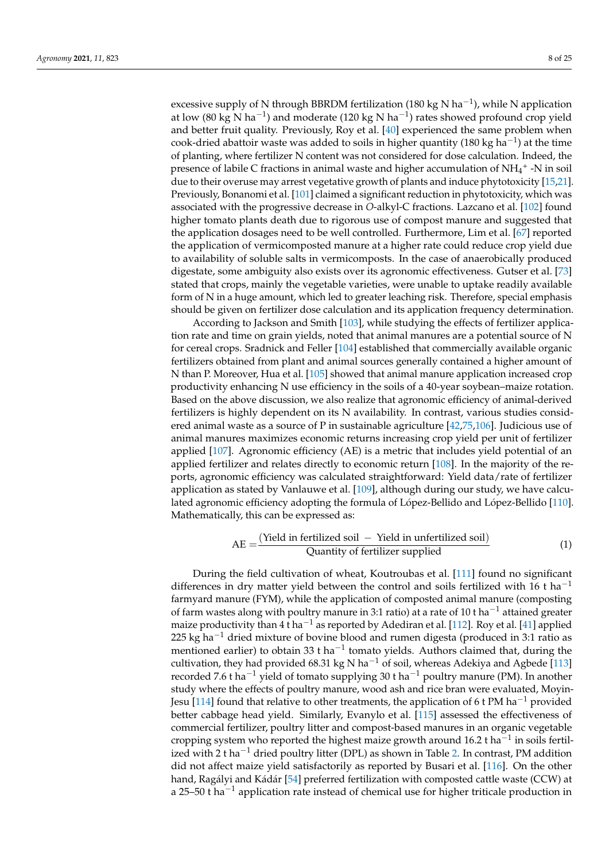excessive supply of N through BBRDM fertilization (180 kg N ha<sup>-1</sup>), while N application at low (80 kg N ha<sup>-1</sup>) and moderate (120 kg N ha<sup>-1</sup>) rates showed profound crop yield and better fruit quality. Previously, Roy et al. [40] experienced the same problem when cook-dried abattoir waste was added to soils in higher quantity (180 kg ha<sup>-1</sup>) at the time of planting, where fertilizer N content was not considered for dose calculation. Indeed, the presence of labile C fractions in animal waste and higher accumulation of  $NH_4^+$  -N in soil due to their overuse may arrest vegetative growth of plants and induce phytotoxicity [15,21]. Previously, Bonanomi et al. [101] claimed a significant reduction in phytotoxicity, which was associated with the progressive decrease in *O*-alkyl-C fractions. Lazcano et al. [102] found higher tomato plants death due to rigorous use of compost manure and suggested that the application dosages need to be well controlled. Furthermore, Lim et al. [67] reported the application of vermicomposted manure at a higher rate could reduce crop yield due to availability of soluble salts in vermicomposts. In the case of anaerobically produced digestate, some ambiguity also exists over its agronomic effectiveness. Gutser et al. [73] stated that crops, mainly the vegetable varieties, were unable to uptake readily available form of N in a huge amount, which led to greater leaching risk. Therefore, special emphasis should be given on fertilizer dose calculation and its application frequency determination.

According to Jackson and Smith [103], while studying the effects of fertilizer application rate and time on grain yields, noted that animal manures are a potential source of N for cereal crops. Sradnick and Feller [104] established that commercially available organic fertilizers obtained from plant and animal sources generally contained a higher amount of N than P. Moreover, Hua et al. [105] showed that animal manure application increased crop productivity enhancing N use efficiency in the soils of a 40-year soybean–maize rotation. Based on the above discussion, we also realize that agronomic efficiency of animal-derived fertilizers is highly dependent on its N availability. In contrast, various studies considered animal waste as a source of P in sustainable agriculture [42,75,106]. Judicious use of animal manures maximizes economic returns increasing crop yield per unit of fertilizer applied [107]. Agronomic efficiency (AE) is a metric that includes yield potential of an applied fertilizer and relates directly to economic return [108]. In the majority of the reports, agronomic efficiency was calculated straightforward: Yield data/rate of fertilizer application as stated by Vanlauwe et al. [109], although during our study, we have calculated agronomic efficiency adopting the formula of López-Bellido and López-Bellido [110]. Mathematically, this can be expressed as:

$$
AE = \frac{(Yield in fertilized soil - Yield in unfertilized soil)}{Quantity of fertilizer supplied}
$$
 (1)

During the field cultivation of wheat, Koutroubas et al. [111] found no significant differences in dry matter yield between the control and soils fertilized with 16 t ha<sup>-1</sup> farmyard manure (FYM), while the application of composted animal manure (composting of farm wastes along with poultry manure in 3:1 ratio) at a rate of 10 t ha<sup>-1</sup> attained greater maize productivity than 4 t ha<sup>-1</sup> as reported by Adediran et al. [112]. Roy et al. [41] applied 225 kg ha<sup> $-1$ </sup> dried mixture of bovine blood and rumen digesta (produced in 3:1 ratio as mentioned earlier) to obtain 33 t ha<sup>-1</sup> tomato yields. Authors claimed that, during the cultivation, they had provided 68.31 kg N ha<sup>-1</sup> of soil, whereas Adekiya and Agbede [113] recorded 7.6 t ha<sup>-1</sup> yield of tomato supplying 30 t ha<sup>-1</sup> poultry manure (PM). In another study where the effects of poultry manure, wood ash and rice bran were evaluated, Moyin-Jesu [114] found that relative to other treatments, the application of 6 t PM ha<sup>-1</sup> provided better cabbage head yield. Similarly, Evanylo et al. [115] assessed the effectiveness of commercial fertilizer, poultry litter and compost-based manures in an organic vegetable cropping system who reported the highest maize growth around 16.2 t ha<sup> $-1$ </sup> in soils fertilized with 2 t ha<sup>-1</sup> dried poultry litter (DPL) as shown in Table 2. In contrast, PM addition did not affect maize yield satisfactorily as reported by Busari et al. [116]. On the other hand, Ragályi and Kádár [54] preferred fertilization with composted cattle waste (CCW) at a 25–50 t ha<sup>-1</sup> application rate instead of chemical use for higher triticale production in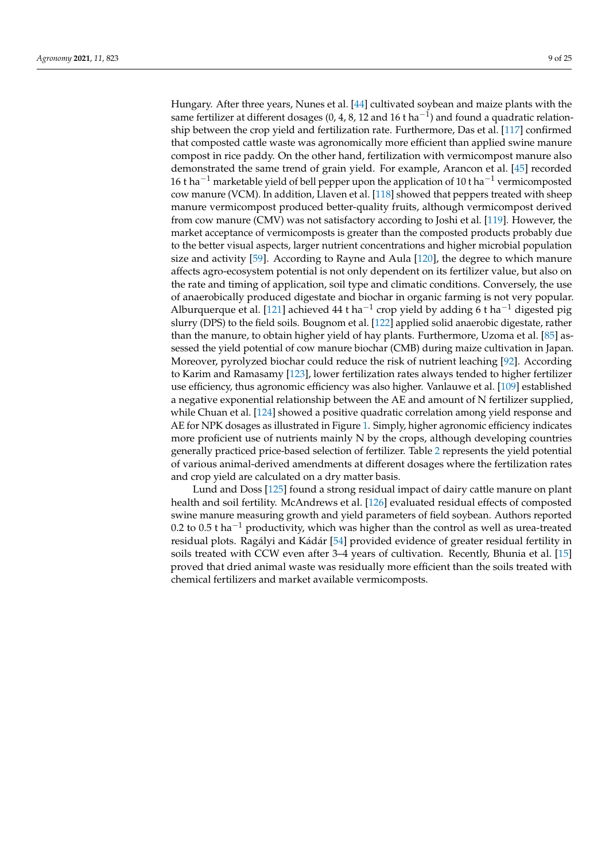Hungary. After three years, Nunes et al. [44] cultivated soybean and maize plants with the same fertilizer at different dosages (0, 4, 8, 12 and 16 t ha<sup>-1</sup>) and found a quadratic relationship between the crop yield and fertilization rate. Furthermore, Das et al. [117] confirmed that composted cattle waste was agronomically more efficient than applied swine manure compost in rice paddy. On the other hand, fertilization with vermicompost manure also demonstrated the same trend of grain yield. For example, Arancon et al. [45] recorded 16 t ha<sup>-1</sup> marketable yield of bell pepper upon the application of 10 t ha<sup>-1</sup> vermicomposted cow manure (VCM). In addition, Llaven et al. [118] showed that peppers treated with sheep manure vermicompost produced better-quality fruits, although vermicompost derived from cow manure (CMV) was not satisfactory according to Joshi et al. [119]. However, the market acceptance of vermicomposts is greater than the composted products probably due to the better visual aspects, larger nutrient concentrations and higher microbial population size and activity [59]. According to Rayne and Aula [120], the degree to which manure affects agro-ecosystem potential is not only dependent on its fertilizer value, but also on the rate and timing of application, soil type and climatic conditions. Conversely, the use of anaerobically produced digestate and biochar in organic farming is not very popular. Alburquerque et al. [121] achieved 44 t ha<sup>-1</sup> crop yield by adding 6 t ha<sup>-1</sup> digested pig slurry (DPS) to the field soils. Bougnom et al. [122] applied solid anaerobic digestate, rather than the manure, to obtain higher yield of hay plants. Furthermore, Uzoma et al. [85] assessed the yield potential of cow manure biochar (CMB) during maize cultivation in Japan. Moreover, pyrolyzed biochar could reduce the risk of nutrient leaching [92]. According to Karim and Ramasamy [123], lower fertilization rates always tended to higher fertilizer use efficiency, thus agronomic efficiency was also higher. Vanlauwe et al. [109] established a negative exponential relationship between the AE and amount of N fertilizer supplied, while Chuan et al. [124] showed a positive quadratic correlation among yield response and AE for NPK dosages as illustrated in Figure 1. Simply, higher agronomic efficiency indicates more proficient use of nutrients mainly N by the crops, although developing countries generally practiced price-based selection of fertilizer. Table 2 represents the yield potential of various animal-derived amendments at different dosages where the fertilization rates and crop yield are calculated on a dry matter basis.

Lund and Doss [125] found a strong residual impact of dairy cattle manure on plant health and soil fertility. McAndrews et al. [126] evaluated residual effects of composted swine manure measuring growth and yield parameters of field soybean. Authors reported 0.2 to 0.5 t ha<sup>-1</sup> productivity, which was higher than the control as well as urea-treated residual plots. Ragályi and Kádár [54] provided evidence of greater residual fertility in soils treated with CCW even after 3–4 years of cultivation. Recently, Bhunia et al. [15] proved that dried animal waste was residually more efficient than the soils treated with chemical fertilizers and market available vermicomposts.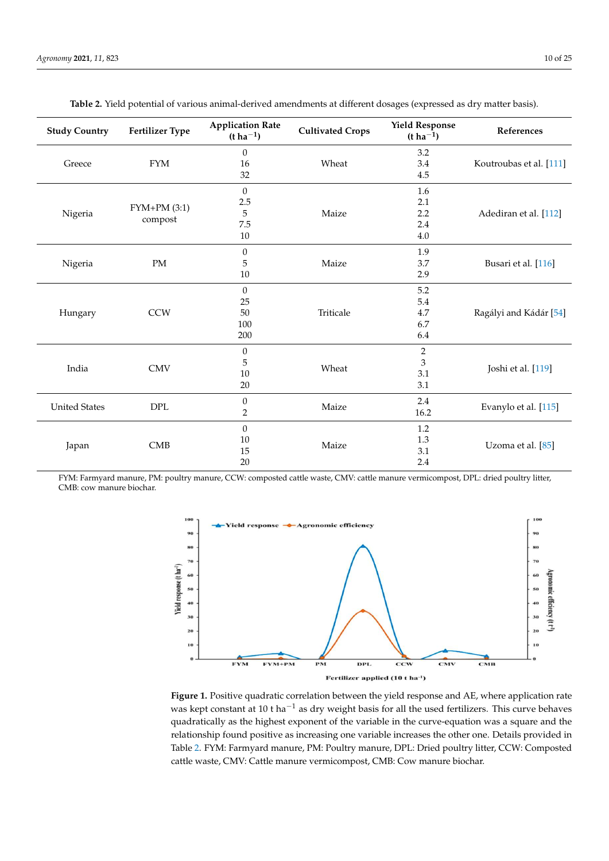| <b>Study Country</b> | <b>Fertilizer Type</b>    | <b>Application Rate</b><br>$(t \, ha^{-1})$ | <b>Cultivated Crops</b> | <b>Yield Response</b><br>$(t \, ha^{-1})$ | References              |
|----------------------|---------------------------|---------------------------------------------|-------------------------|-------------------------------------------|-------------------------|
| Greece               |                           | 0                                           | Wheat                   | 3.2                                       | Koutroubas et al. [111] |
|                      | <b>FYM</b>                | 16                                          |                         | 3.4                                       |                         |
|                      |                           | 32                                          |                         | 4.5                                       |                         |
| Nigeria              |                           | $\boldsymbol{0}$                            | Maize                   | 1.6                                       | Adediran et al. [112]   |
|                      |                           | $2.5\,$                                     |                         | 2.1                                       |                         |
|                      | $FYM+PM(3:1)$             | 5                                           |                         | 2.2                                       |                         |
|                      | compost                   | 7.5                                         |                         | 2.4                                       |                         |
|                      |                           | 10                                          |                         | 4.0                                       |                         |
| Nigeria              |                           | $\overline{0}$                              | Maize                   | 1.9                                       | Busari et al. [116]     |
|                      | PM                        | 5                                           |                         | 3.7                                       |                         |
|                      |                           | 10                                          |                         | 2.9                                       |                         |
| Hungary              |                           | $\boldsymbol{0}$                            | Triticale               | 5.2                                       | Ragályi and Kádár [54]  |
|                      |                           | 25                                          |                         | 5.4                                       |                         |
|                      | <b>CCW</b>                | 50                                          |                         | 4.7                                       |                         |
|                      |                           | 100                                         |                         | 6.7                                       |                         |
|                      |                           | 200                                         |                         | 6.4                                       |                         |
| India                | <b>CMV</b>                | $\boldsymbol{0}$                            | Wheat                   | $\overline{2}$                            | Joshi et al. [119]      |
|                      |                           | 5                                           |                         | 3                                         |                         |
|                      |                           | 10                                          |                         | 3.1                                       |                         |
|                      |                           | 20                                          |                         | 3.1                                       |                         |
| <b>United States</b> | $\ensuremath{\text{DPL}}$ | $\boldsymbol{0}$                            | Maize                   | 2.4                                       | Evanylo et al. [115]    |
|                      |                           | $\overline{2}$                              |                         | 16.2                                      |                         |
| Japan                |                           | $\mathbf{0}$                                | Maize                   | 1.2                                       | Uzoma et al. [85]       |
|                      |                           | 10                                          |                         | $1.3\,$                                   |                         |
|                      | CMB                       | 15                                          |                         | 3.1                                       |                         |
|                      |                           | 20                                          |                         | 2.4                                       |                         |

**Table 2.** Yield potential of various animal-derived amendments at different dosages (expressed as dry matter basis).

FYM: Farmyard manure, PM: poultry manure, CCW: composted cattle waste, CMV: cattle manure vermicompost, DPL: dried poultry litter, CMB: cow manure biochar.



− relationship found positive as increasing one variable increases the other one. Details provided in Figure 1. Positive quadratic correlation between the yield response and AE, where application rate was kept constant at 10 t ha<sup>-1</sup> as dry weight basis for all the used fertilizers. This curve behaves quadratically as the highest exponent of the variable in the curve-equation was a square and the Table 2. FYM: Farmyard manure, PM: Poultry manure, DPL: Dried poultry litter, CCW: Composted cattle waste, CMV: Cattle manure vermicompost, CMB: Cow manure biochar.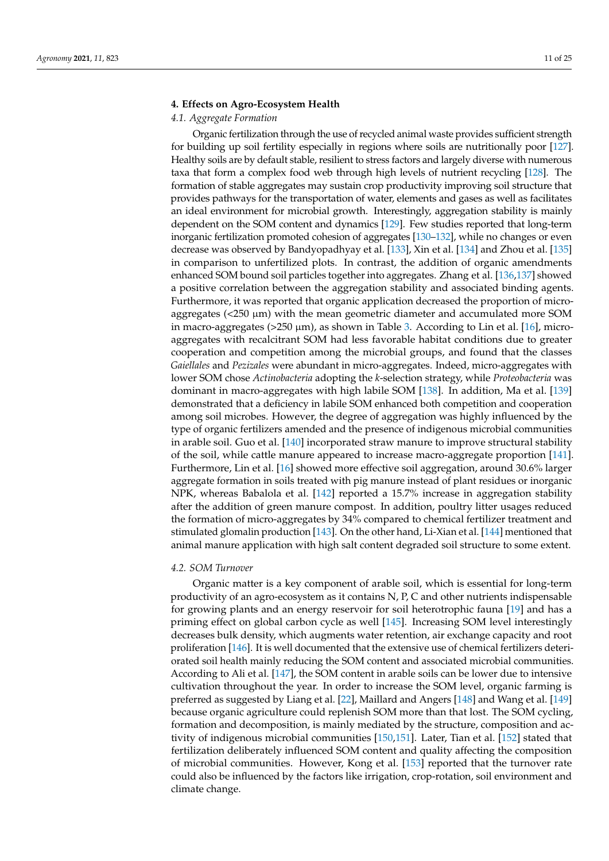## **4. Effects on Agro-Ecosystem Health**

## *4.1. Aggregate Formation*

Organic fertilization through the use of recycled animal waste provides sufficient strength for building up soil fertility especially in regions where soils are nutritionally poor [127]. Healthy soils are by default stable, resilient to stress factors and largely diverse with numerous taxa that form a complex food web through high levels of nutrient recycling [128]. The formation of stable aggregates may sustain crop productivity improving soil structure that provides pathways for the transportation of water, elements and gases as well as facilitates an ideal environment for microbial growth. Interestingly, aggregation stability is mainly dependent on the SOM content and dynamics [129]. Few studies reported that long-term inorganic fertilization promoted cohesion of aggregates [130–132], while no changes or even decrease was observed by Bandyopadhyay et al. [133], Xin et al. [134] and Zhou et al. [135] in comparison to unfertilized plots. In contrast, the addition of organic amendments enhanced SOM bound soil particles together into aggregates. Zhang et al. [136,137] showed a positive correlation between the aggregation stability and associated binding agents. Furthermore, it was reported that organic application decreased the proportion of microaggregates (<250 µm) with the mean geometric diameter and accumulated more SOM in macro-aggregates ( $>250 \mu m$ ), as shown in Table 3. According to Lin et al. [16], microaggregates with recalcitrant SOM had less favorable habitat conditions due to greater cooperation and competition among the microbial groups, and found that the classes *Gaiellales* and *Pezizales* were abundant in micro-aggregates. Indeed, micro-aggregates with lower SOM chose *Actinobacteria* adopting the *k*-selection strategy, while *Proteobacteria* was dominant in macro-aggregates with high labile SOM [138]. In addition, Ma et al. [139] demonstrated that a deficiency in labile SOM enhanced both competition and cooperation among soil microbes. However, the degree of aggregation was highly influenced by the type of organic fertilizers amended and the presence of indigenous microbial communities in arable soil. Guo et al. [140] incorporated straw manure to improve structural stability of the soil, while cattle manure appeared to increase macro-aggregate proportion [141]. Furthermore, Lin et al. [16] showed more effective soil aggregation, around 30.6% larger aggregate formation in soils treated with pig manure instead of plant residues or inorganic NPK, whereas Babalola et al. [142] reported a 15.7% increase in aggregation stability after the addition of green manure compost. In addition, poultry litter usages reduced the formation of micro-aggregates by 34% compared to chemical fertilizer treatment and stimulated glomalin production [143]. On the other hand, Li-Xian et al. [144] mentioned that animal manure application with high salt content degraded soil structure to some extent.

# *4.2. SOM Turnover*

Organic matter is a key component of arable soil, which is essential for long-term productivity of an agro-ecosystem as it contains N, P, C and other nutrients indispensable for growing plants and an energy reservoir for soil heterotrophic fauna [19] and has a priming effect on global carbon cycle as well [145]. Increasing SOM level interestingly decreases bulk density, which augments water retention, air exchange capacity and root proliferation [146]. It is well documented that the extensive use of chemical fertilizers deteriorated soil health mainly reducing the SOM content and associated microbial communities. According to Ali et al. [147], the SOM content in arable soils can be lower due to intensive cultivation throughout the year. In order to increase the SOM level, organic farming is preferred as suggested by Liang et al. [22], Maillard and Angers [148] and Wang et al. [149] because organic agriculture could replenish SOM more than that lost. The SOM cycling, formation and decomposition, is mainly mediated by the structure, composition and activity of indigenous microbial communities [150,151]. Later, Tian et al. [152] stated that fertilization deliberately influenced SOM content and quality affecting the composition of microbial communities. However, Kong et al. [153] reported that the turnover rate could also be influenced by the factors like irrigation, crop-rotation, soil environment and climate change.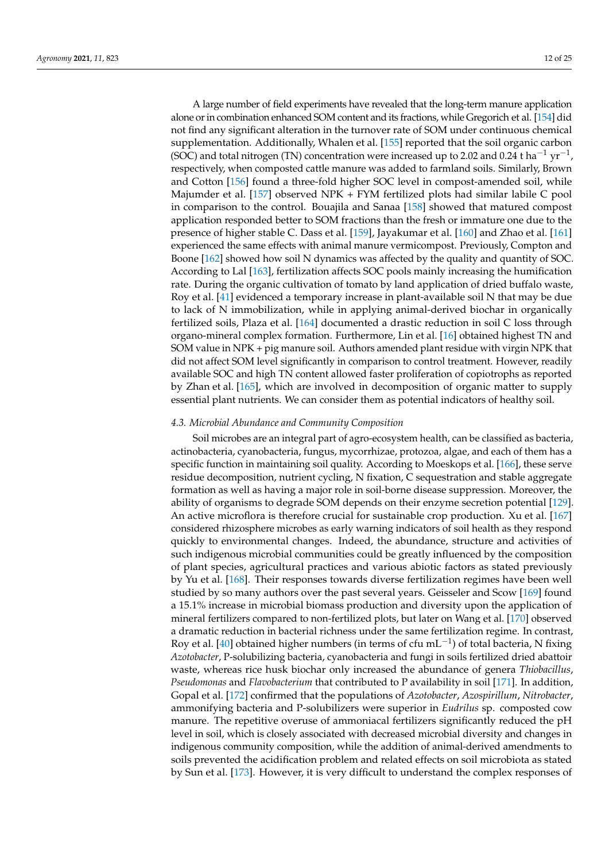A large number of field experiments have revealed that the long-term manure application alone or in combination enhanced SOM content and its fractions, while Gregorich et al. [154] did not find any significant alteration in the turnover rate of SOM under continuous chemical supplementation. Additionally, Whalen et al. [155] reported that the soil organic carbon (SOC) and total nitrogen (TN) concentration were increased up to 2.02 and 0.24 t ha<sup>-1</sup> yr<sup>-1</sup>, respectively, when composted cattle manure was added to farmland soils. Similarly, Brown and Cotton [156] found a three-fold higher SOC level in compost-amended soil, while Majumder et al. [157] observed NPK + FYM fertilized plots had similar labile C pool in comparison to the control. Bouajila and Sanaa [158] showed that matured compost application responded better to SOM fractions than the fresh or immature one due to the presence of higher stable C. Dass et al. [159], Jayakumar et al. [160] and Zhao et al. [161] experienced the same effects with animal manure vermicompost. Previously, Compton and Boone [162] showed how soil N dynamics was affected by the quality and quantity of SOC. According to Lal [163], fertilization affects SOC pools mainly increasing the humification rate. During the organic cultivation of tomato by land application of dried buffalo waste, Roy et al. [41] evidenced a temporary increase in plant-available soil N that may be due to lack of N immobilization, while in applying animal-derived biochar in organically fertilized soils, Plaza et al. [164] documented a drastic reduction in soil C loss through organo-mineral complex formation. Furthermore, Lin et al. [16] obtained highest TN and SOM value in NPK + pig manure soil. Authors amended plant residue with virgin NPK that did not affect SOM level significantly in comparison to control treatment. However, readily available SOC and high TN content allowed faster proliferation of copiotrophs as reported by Zhan et al. [165], which are involved in decomposition of organic matter to supply essential plant nutrients. We can consider them as potential indicators of healthy soil.

## *4.3. Microbial Abundance and Community Composition*

Soil microbes are an integral part of agro-ecosystem health, can be classified as bacteria, actinobacteria, cyanobacteria, fungus, mycorrhizae, protozoa, algae, and each of them has a specific function in maintaining soil quality. According to Moeskops et al. [166], these serve residue decomposition, nutrient cycling, N fixation, C sequestration and stable aggregate formation as well as having a major role in soil-borne disease suppression. Moreover, the ability of organisms to degrade SOM depends on their enzyme secretion potential [129]. An active microflora is therefore crucial for sustainable crop production. Xu et al. [167] considered rhizosphere microbes as early warning indicators of soil health as they respond quickly to environmental changes. Indeed, the abundance, structure and activities of such indigenous microbial communities could be greatly influenced by the composition of plant species, agricultural practices and various abiotic factors as stated previously by Yu et al. [168]. Their responses towards diverse fertilization regimes have been well studied by so many authors over the past several years. Geisseler and Scow [169] found a 15.1% increase in microbial biomass production and diversity upon the application of mineral fertilizers compared to non-fertilized plots, but later on Wang et al. [170] observed a dramatic reduction in bacterial richness under the same fertilization regime. In contrast, Roy et al. [40] obtained higher numbers (in terms of cfu mL<sup>-1</sup>) of total bacteria, N fixing *Azotobacter*, P-solubilizing bacteria, cyanobacteria and fungi in soils fertilized dried abattoir waste, whereas rice husk biochar only increased the abundance of genera *Thiobacillus*, *Pseudomonas* and *Flavobacterium* that contributed to P availability in soil [171]. In addition, Gopal et al. [172] confirmed that the populations of *Azotobacter*, *Azospirillum*, *Nitrobacter*, ammonifying bacteria and P-solubilizers were superior in *Eudrilus* sp. composted cow manure. The repetitive overuse of ammoniacal fertilizers significantly reduced the pH level in soil, which is closely associated with decreased microbial diversity and changes in indigenous community composition, while the addition of animal-derived amendments to soils prevented the acidification problem and related effects on soil microbiota as stated by Sun et al. [173]. However, it is very difficult to understand the complex responses of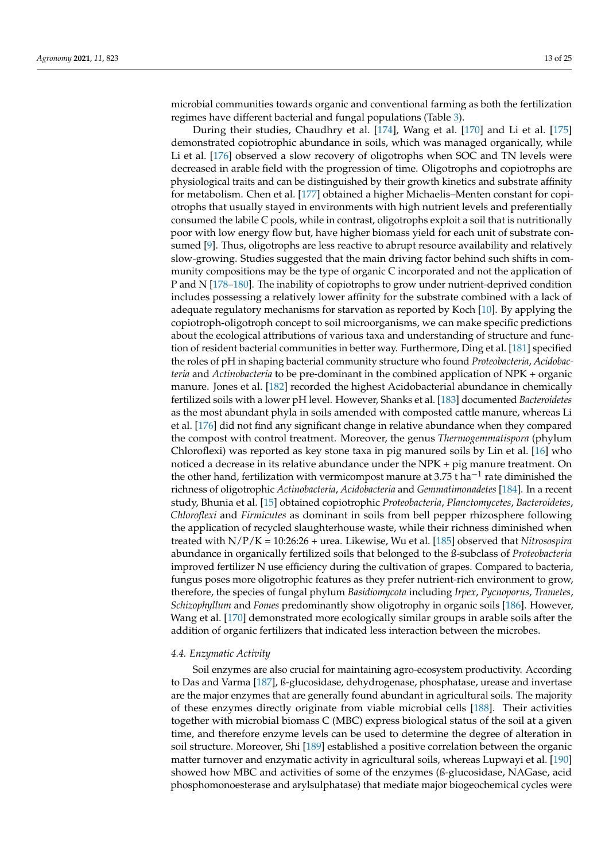microbial communities towards organic and conventional farming as both the fertilization regimes have different bacterial and fungal populations (Table 3).

During their studies, Chaudhry et al. [174], Wang et al. [170] and Li et al. [175] demonstrated copiotrophic abundance in soils, which was managed organically, while Li et al. [176] observed a slow recovery of oligotrophs when SOC and TN levels were decreased in arable field with the progression of time. Oligotrophs and copiotrophs are physiological traits and can be distinguished by their growth kinetics and substrate affinity for metabolism. Chen et al. [177] obtained a higher Michaelis–Menten constant for copiotrophs that usually stayed in environments with high nutrient levels and preferentially consumed the labile C pools, while in contrast, oligotrophs exploit a soil that is nutritionally poor with low energy flow but, have higher biomass yield for each unit of substrate consumed [9]. Thus, oligotrophs are less reactive to abrupt resource availability and relatively slow-growing. Studies suggested that the main driving factor behind such shifts in community compositions may be the type of organic C incorporated and not the application of P and N [178–180]. The inability of copiotrophs to grow under nutrient-deprived condition includes possessing a relatively lower affinity for the substrate combined with a lack of adequate regulatory mechanisms for starvation as reported by Koch [10]. By applying the copiotroph-oligotroph concept to soil microorganisms, we can make specific predictions about the ecological attributions of various taxa and understanding of structure and function of resident bacterial communities in better way. Furthermore, Ding et al. [181] specified the roles of pH in shaping bacterial community structure who found *Proteobacteria*, *Acidobacteria* and *Actinobacteria* to be pre-dominant in the combined application of NPK + organic manure. Jones et al. [182] recorded the highest Acidobacterial abundance in chemically fertilized soils with a lower pH level. However, Shanks et al. [183] documented *Bacteroidetes* as the most abundant phyla in soils amended with composted cattle manure, whereas Li et al. [176] did not find any significant change in relative abundance when they compared the compost with control treatment. Moreover, the genus *Thermogemmatispora* (phylum Chloroflexi) was reported as key stone taxa in pig manured soils by Lin et al. [16] who noticed a decrease in its relative abundance under the NPK + pig manure treatment. On the other hand, fertilization with vermicompost manure at 3.75 t ha<sup>-1</sup> rate diminished the richness of oligotrophic *Actinobacteria*, *Acidobacteria* and *Gemmatimonadetes* [184]. In a recent study, Bhunia et al. [15] obtained copiotrophic *Proteobacteria*, *Planctomycetes*, *Bacteroidetes*, *Chloroflexi* and *Firmicutes* as dominant in soils from bell pepper rhizosphere following the application of recycled slaughterhouse waste, while their richness diminished when treated with N/P/K = 10:26:26 + urea. Likewise, Wu et al. [185] observed that *Nitrosospira* abundance in organically fertilized soils that belonged to the ß-subclass of *Proteobacteria* improved fertilizer N use efficiency during the cultivation of grapes. Compared to bacteria, fungus poses more oligotrophic features as they prefer nutrient-rich environment to grow, therefore, the species of fungal phylum *Basidiomycota* including *Irpex*, *Pycnoporus*, *Trametes*, *Schizophyllum* and *Fomes* predominantly show oligotrophy in organic soils [186]. However, Wang et al. [170] demonstrated more ecologically similar groups in arable soils after the addition of organic fertilizers that indicated less interaction between the microbes.

## *4.4. Enzymatic Activity*

Soil enzymes are also crucial for maintaining agro-ecosystem productivity. According to Das and Varma [187], ß-glucosidase, dehydrogenase, phosphatase, urease and invertase are the major enzymes that are generally found abundant in agricultural soils. The majority of these enzymes directly originate from viable microbial cells [188]. Their activities together with microbial biomass C (MBC) express biological status of the soil at a given time, and therefore enzyme levels can be used to determine the degree of alteration in soil structure. Moreover, Shi [189] established a positive correlation between the organic matter turnover and enzymatic activity in agricultural soils, whereas Lupwayi et al. [190] showed how MBC and activities of some of the enzymes (ß-glucosidase, NAGase, acid phosphomonoesterase and arylsulphatase) that mediate major biogeochemical cycles were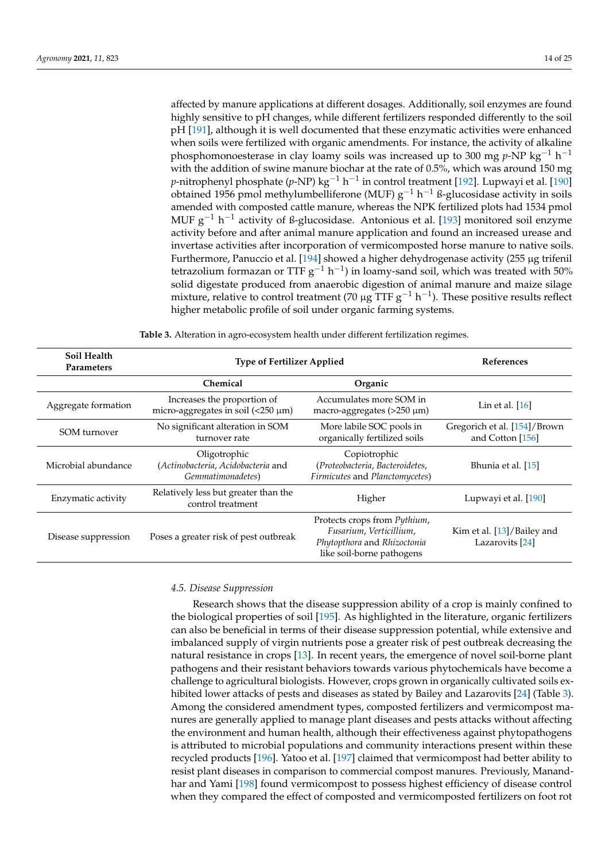affected by manure applications at different dosages. Additionally, soil enzymes are found highly sensitive to pH changes, while different fertilizers responded differently to the soil pH [191], although it is well documented that these enzymatic activities were enhanced when soils were fertilized with organic amendments. For instance, the activity of alkaline phosphomonoesterase in clay loamy soils was increased up to 300 mg *p*-NP kg<sup>-1</sup> h<sup>-1</sup> with the addition of swine manure biochar at the rate of 0.5%, which was around 150 mg *p*-nitrophenyl phosphate (*p*-NP) kg−<sup>1</sup> h −1 in control treatment [192]. Lupwayi et al. [190]  $\alpha$ btained 1956 pmol methylumbelliferone (MUF) g<sup>-1</sup> h<sup>-1</sup> ß-glucosidase activity in soils amended with composted cattle manure, whereas the NPK fertilized plots had 1534 pmol MUF g<sup>-1</sup> h<sup>-1</sup> activity of ß-glucosidase. Antonious et al. [193] monitored soil enzyme activity before and after animal manure application and found an increased urease and invertase activities after incorporation of vermicomposted horse manure to native soils. Furthermore, Panuccio et al. [194] showed a higher dehydrogenase activity (255 µg trifenil tetrazolium formazan or TTF  $g^{-1}$  h<sup>-1</sup>) in loamy-sand soil, which was treated with 50% solid digestate produced from anaerobic digestion of animal manure and maize silage mixture, relative to control treatment (70  $\mu$ g TTF g<sup>-1</sup> h<sup>-1</sup>). These positive results reflect higher metabolic profile of soil under organic farming systems.

| Soil Health<br><b>Parameters</b> | <b>Type of Fertilizer Applied</b>                                                                            | <b>References</b>                                                                 |                                                          |
|----------------------------------|--------------------------------------------------------------------------------------------------------------|-----------------------------------------------------------------------------------|----------------------------------------------------------|
|                                  | Chemical                                                                                                     | Organic                                                                           |                                                          |
| Aggregate formation              | Increases the proportion of<br>micro-aggregates in soil $\left($ <250 $\mu$ m)                               | Accumulates more SOM in<br>macro-aggregates $(>250 \mu m)$                        | Lin et al. $[16]$                                        |
| SOM turnover                     | No significant alteration in SOM<br>turnover rate                                                            | More labile SOC pools in<br>organically fertilized soils                          | Gregorich et al. [154]/Brown<br>and Cotton [156]         |
| Microbial abundance              | Oligotrophic<br>(Actinobacteria, Acidobacteria and<br>Gemmatimonadetes)                                      | Copiotrophic<br>(Proteobacteria, Bacteroidetes,<br>Firmicutes and Planctomycetes) | Bhunia et al. [15]                                       |
| Enzymatic activity               | Relatively less but greater than the<br>control treatment                                                    | Higher                                                                            | Lupwayi et al. [190]                                     |
| Disease suppression              | Protects crops from <i>Pythium</i> ,<br>Poses a greater risk of pest outbreak<br>Phytopthora and Rhizoctonia |                                                                                   | Kim et al. [13]/Bailey and<br>Lazarovits <sup>[24]</sup> |

**Table 3.** Alteration in agro-ecosystem health under different fertilization regimes.

# *4.5. Disease Suppression*

Research shows that the disease suppression ability of a crop is mainly confined to the biological properties of soil [195]. As highlighted in the literature, organic fertilizers can also be beneficial in terms of their disease suppression potential, while extensive and imbalanced supply of virgin nutrients pose a greater risk of pest outbreak decreasing the natural resistance in crops [13]. In recent years, the emergence of novel soil-borne plant pathogens and their resistant behaviors towards various phytochemicals have become a challenge to agricultural biologists. However, crops grown in organically cultivated soils exhibited lower attacks of pests and diseases as stated by Bailey and Lazarovits [24] (Table 3). Among the considered amendment types, composted fertilizers and vermicompost manures are generally applied to manage plant diseases and pests attacks without affecting the environment and human health, although their effectiveness against phytopathogens is attributed to microbial populations and community interactions present within these recycled products [196]. Yatoo et al. [197] claimed that vermicompost had better ability to resist plant diseases in comparison to commercial compost manures. Previously, Manandhar and Yami [198] found vermicompost to possess highest efficiency of disease control when they compared the effect of composted and vermicomposted fertilizers on foot rot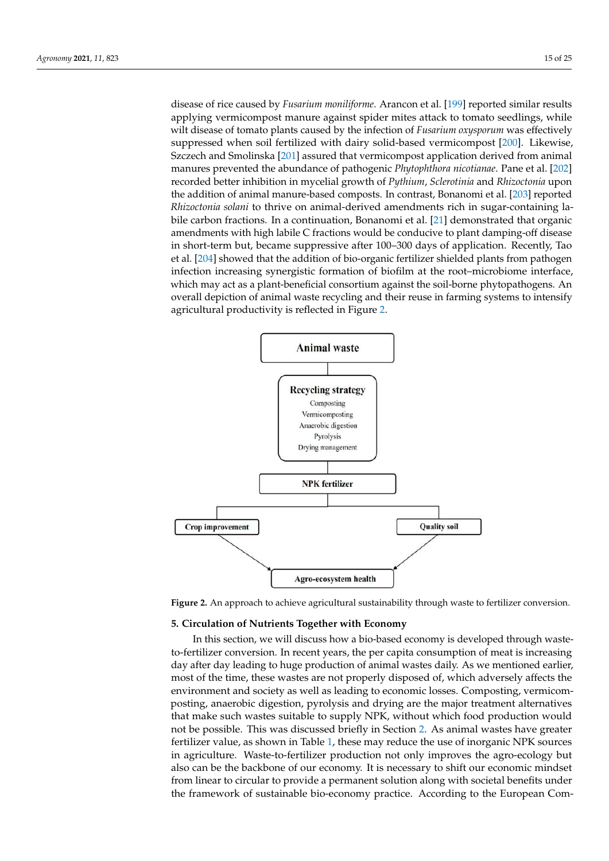disease of rice caused by *Fusarium moniliforme*. Arancon et al. [199] reported similar results applying vermicompost manure against spider mites attack to tomato seedlings, while wilt disease of tomato plants caused by the infection of *Fusarium oxysporum* was effectively suppressed when soil fertilized with dairy solid-based vermicompost [200]. Likewise, Szczech and Smolinska [201] assured that vermicompost application derived from animal manures prevented the abundance of pathogenic *Phytophthora nicotianae*. Pane et al. [202] recorded better inhibition in mycelial growth of *Pythium*, *Sclerotinia* and *Rhizoctonia* upon the addition of animal manure-based composts. In contrast, Bonanomi et al. [203] reported *Rhizoctonia solani* to thrive on animal-derived amendments rich in sugar-containing labile carbon fractions. In a continuation, Bonanomi et al. [21] demonstrated that organic amendments with high labile C fractions would be conducive to plant damping-off disease in short-term but, became suppressive after 100–300 days of application. Recently, Tao et al. [204] showed that the addition of bio-organic fertilizer shielded plants from pathogen infection increasing synergistic formation of biofilm at the root–microbiome interface, which may act as a plant-beneficial consortium against the soil-borne phytopathogens. An overall depiction of animal waste recycling and their reuse in farming systems to intensify agricultural productivity is reflected in Figure 2.



**Figure 2.** An approach to achieve agricultural sustainability through waste to fertilizer conversion.

## **5. Circulation of Nutrients Together with Economy**

In this section, we will discuss how a bio-based economy is developed through wasteto-fertilizer conversion. In recent years, the per capita consumption of meat is increasing day after day leading to huge production of animal wastes daily. As we mentioned earlier, most of the time, these wastes are not properly disposed of, which adversely affects the environment and society as well as leading to economic losses. Composting, vermicomposting, anaerobic digestion, pyrolysis and drying are the major treatment alternatives that make such wastes suitable to supply NPK, without which food production would not be possible. This was discussed briefly in Section 2. As animal wastes have greater fertilizer value, as shown in Table 1, these may reduce the use of inorganic NPK sources in agriculture. Waste-to-fertilizer production not only improves the agro-ecology but also can be the backbone of our economy. It is necessary to shift our economic mindset from linear to circular to provide a permanent solution along with societal benefits under the framework of sustainable bio-economy practice. According to the European Com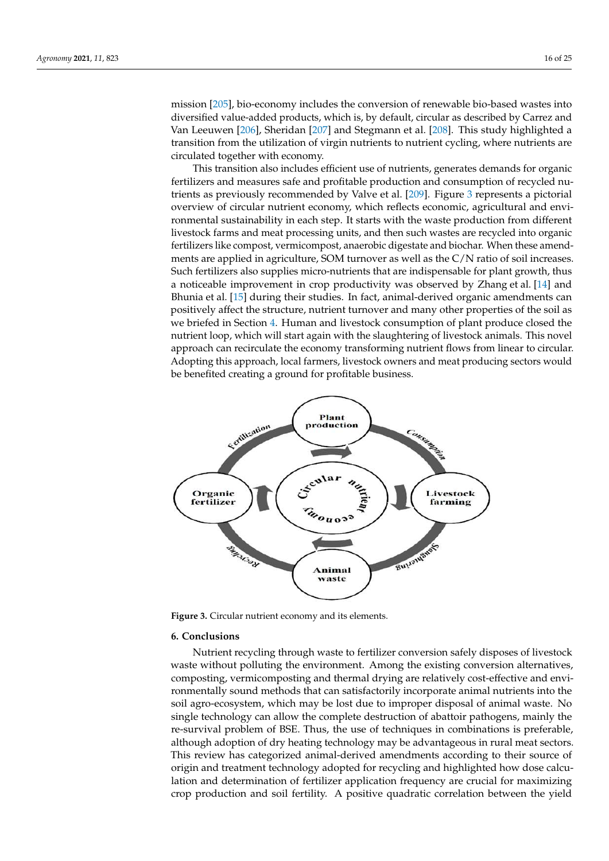mission [205], bio-economy includes the conversion of renewable bio-based wastes into diversified value-added products, which is, by default, circular as described by Carrez and Van Leeuwen [206], Sheridan [207] and Stegmann et al. [208]. This study highlighted a transition from the utilization of virgin nutrients to nutrient cycling, where nutrients are circulated together with economy.

This transition also includes efficient use of nutrients, generates demands for organic fertilizers and measures safe and profitable production and consumption of recycled nutrients as previously recommended by Valve et al. [209]. Figure 3 represents a pictorial overview of circular nutrient economy, which reflects economic, agricultural and environmental sustainability in each step. It starts with the waste production from different livestock farms and meat processing units, and then such wastes are recycled into organic fertilizers like compost, vermicompost, anaerobic digestate and biochar. When these amendments are applied in agriculture, SOM turnover as well as the C/N ratio of soil increases. Such fertilizers also supplies micro-nutrients that are indispensable for plant growth, thus a noticeable improvement in crop productivity was observed by Zhang et al. [14] and Bhunia et al. [15] during their studies. In fact, animal-derived organic amendments can positively affect the structure, nutrient turnover and many other properties of the soil as we briefed in Section 4. Human and livestock consumption of plant produce closed the nutrient loop, which will start again with the slaughtering of livestock animals. This novel approach can recirculate the economy transforming nutrient flows from linear to circular. Adopting this approach, local farmers, livestock owners and meat producing sectors would be benefited creating a ground for profitable business.



**Figure 3.** Circular nutrient economy and its elements.

#### **6. Conclusions**

Nutrient recycling through waste to fertilizer conversion safely disposes of livestock waste without polluting the environment. Among the existing conversion alternatives, composting, vermicomposting and thermal drying are relatively cost-effective and environmentally sound methods that can satisfactorily incorporate animal nutrients into the soil agro-ecosystem, which may be lost due to improper disposal of animal waste. No single technology can allow the complete destruction of abattoir pathogens, mainly the re-survival problem of BSE. Thus, the use of techniques in combinations is preferable, although adoption of dry heating technology may be advantageous in rural meat sectors. This review has categorized animal-derived amendments according to their source of origin and treatment technology adopted for recycling and highlighted how dose calculation and determination of fertilizer application frequency are crucial for maximizing crop production and soil fertility. A positive quadratic correlation between the yield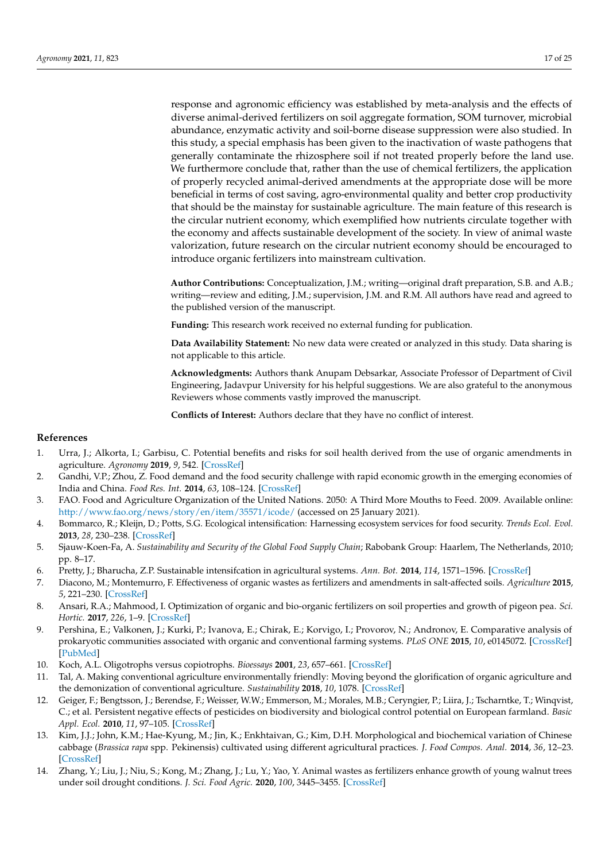response and agronomic efficiency was established by meta-analysis and the effects of diverse animal-derived fertilizers on soil aggregate formation, SOM turnover, microbial abundance, enzymatic activity and soil-borne disease suppression were also studied. In this study, a special emphasis has been given to the inactivation of waste pathogens that generally contaminate the rhizosphere soil if not treated properly before the land use. We furthermore conclude that, rather than the use of chemical fertilizers, the application of properly recycled animal-derived amendments at the appropriate dose will be more beneficial in terms of cost saving, agro-environmental quality and better crop productivity that should be the mainstay for sustainable agriculture. The main feature of this research is the circular nutrient economy, which exemplified how nutrients circulate together with the economy and affects sustainable development of the society. In view of animal waste valorization, future research on the circular nutrient economy should be encouraged to introduce organic fertilizers into mainstream cultivation.

**Author Contributions:** Conceptualization, J.M.; writing—original draft preparation, S.B. and A.B.; writing—review and editing, J.M.; supervision, J.M. and R.M. All authors have read and agreed to the published version of the manuscript.

**Funding:** This research work received no external funding for publication.

**Data Availability Statement:** No new data were created or analyzed in this study. Data sharing is not applicable to this article.

**Acknowledgments:** Authors thank Anupam Debsarkar, Associate Professor of Department of Civil Engineering, Jadavpur University for his helpful suggestions. We are also grateful to the anonymous Reviewers whose comments vastly improved the manuscript.

**Conflicts of Interest:** Authors declare that they have no conflict of interest.

#### **References**

- 1. Urra, J.; Alkorta, I.; Garbisu, C. Potential benefits and risks for soil health derived from the use of organic amendments in agriculture. *Agronomy* **2019**, *9*, 542. [CrossRef]
- 2. Gandhi, V.P.; Zhou, Z. Food demand and the food security challenge with rapid economic growth in the emerging economies of India and China. *Food Res. Int.* **2014**, *63*, 108–124. [CrossRef]
- 3. FAO. Food and Agriculture Organization of the United Nations. 2050: A Third More Mouths to Feed. 2009. Available online: http://www.fao.org/news/story/en/item/35571/icode/ (accessed on 25 January 2021).
- 4. Bommarco, R.; Kleijn, D.; Potts, S.G. Ecological intensification: Harnessing ecosystem services for food security. *Trends Ecol. Evol.* **2013**, *28*, 230–238. [CrossRef]
- 5. Sjauw-Koen-Fa, A. *Sustainability and Security of the Global Food Supply Chain*; Rabobank Group: Haarlem, The Netherlands, 2010; pp. 8–17.
- 6. Pretty, J.; Bharucha, Z.P. Sustainable intensifcation in agricultural systems. *Ann. Bot.* **2014**, *114*, 1571–1596. [CrossRef]
- 7. Diacono, M.; Montemurro, F. Effectiveness of organic wastes as fertilizers and amendments in salt-affected soils. *Agriculture* **2015**, *5*, 221–230. [CrossRef]
- 8. Ansari, R.A.; Mahmood, I. Optimization of organic and bio-organic fertilizers on soil properties and growth of pigeon pea. *Sci. Hortic.* **2017**, *226*, 1–9. [CrossRef]
- 9. Pershina, E.; Valkonen, J.; Kurki, P.; Ivanova, E.; Chirak, E.; Korvigo, I.; Provorov, N.; Andronov, E. Comparative analysis of prokaryotic communities associated with organic and conventional farming systems. *PLoS ONE* **2015**, *10*, e0145072. [CrossRef] [PubMed]
- 10. Koch, A.L. Oligotrophs versus copiotrophs. *Bioessays* **2001**, *23*, 657–661. [CrossRef]
- 11. Tal, A. Making conventional agriculture environmentally friendly: Moving beyond the glorification of organic agriculture and the demonization of conventional agriculture. *Sustainability* **2018**, *10*, 1078. [CrossRef]
- 12. Geiger, F.; Bengtsson, J.; Berendse, F.; Weisser, W.W.; Emmerson, M.; Morales, M.B.; Ceryngier, P.; Liira, J.; Tscharntke, T.; Winqvist, C.; et al. Persistent negative effects of pesticides on biodiversity and biological control potential on European farmland. *Basic Appl. Ecol.* **2010**, *11*, 97–105. [CrossRef]
- 13. Kim, J.J.; John, K.M.; Hae-Kyung, M.; Jin, K.; Enkhtaivan, G.; Kim, D.H. Morphological and biochemical variation of Chinese cabbage (*Brassica rapa* spp. Pekinensis) cultivated using different agricultural practices. *J. Food Compos. Anal.* **2014**, *36*, 12–23. [CrossRef]
- 14. Zhang, Y.; Liu, J.; Niu, S.; Kong, M.; Zhang, J.; Lu, Y.; Yao, Y. Animal wastes as fertilizers enhance growth of young walnut trees under soil drought conditions. *J. Sci. Food Agric.* **2020**, *100*, 3445–3455. [CrossRef]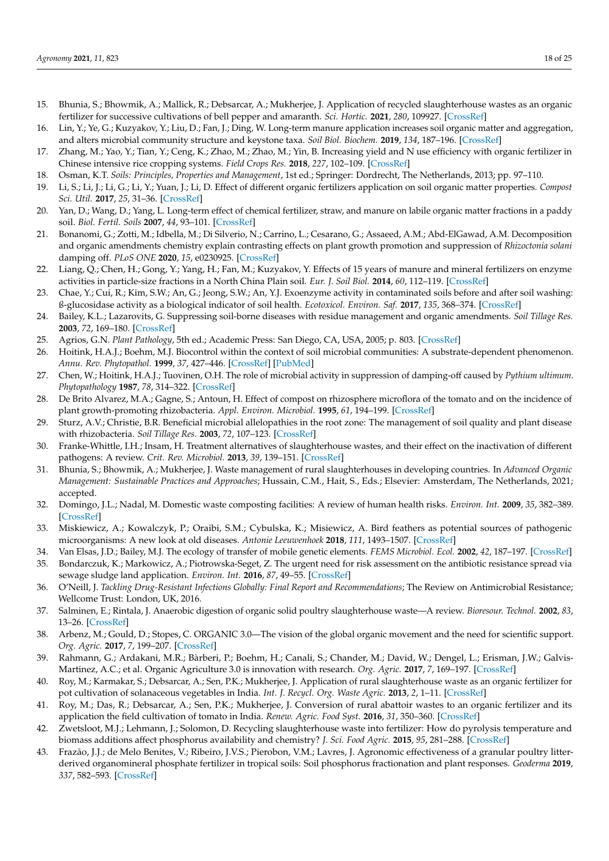- 15. Bhunia, S.; Bhowmik, A.; Mallick, R.; Debsarcar, A.; Mukherjee, J. Application of recycled slaughterhouse wastes as an organic fertilizer for successive cultivations of bell pepper and amaranth. *Sci. Hortic.* **2021**, *280*, 109927. [CrossRef]
- 16. Lin, Y.; Ye, G.; Kuzyakov, Y.; Liu, D.; Fan, J.; Ding, W. Long-term manure application increases soil organic matter and aggregation, and alters microbial community structure and keystone taxa. *Soil Biol. Biochem.* **2019**, *134*, 187–196. [CrossRef]
- 17. Zhang, M.; Yao, Y.; Tian, Y.; Ceng, K.; Zhao, M.; Zhao, M.; Yin, B. Increasing yield and N use efficiency with organic fertilizer in Chinese intensive rice cropping systems. *Field Crops Res.* **2018**, *227*, 102–109. [CrossRef]
- 18. Osman, K.T. *Soils: Principles, Properties and Management*, 1st ed.; Springer: Dordrecht, The Netherlands, 2013; pp. 97–110.
- 19. Li, S.; Li, J.; Li, G.; Li, Y.; Yuan, J.; Li, D. Effect of different organic fertilizers application on soil organic matter properties. *Compost Sci. Util.* **2017**, *25*, 31–36. [CrossRef]
- 20. Yan, D.; Wang, D.; Yang, L. Long-term effect of chemical fertilizer, straw, and manure on labile organic matter fractions in a paddy soil. *Biol. Fertil. Soils* **2007**, *44*, 93–101. [CrossRef]
- 21. Bonanomi, G.; Zotti, M.; Idbella, M.; Di Silverio, N.; Carrino, L.; Cesarano, G.; Assaeed, A.M.; Abd-ElGawad, A.M. Decomposition and organic amendments chemistry explain contrasting effects on plant growth promotion and suppression of *Rhizoctonia solani* damping off. *PLoS ONE* **2020**, *15*, e0230925. [CrossRef]
- 22. Liang, Q.; Chen, H.; Gong, Y.; Yang, H.; Fan, M.; Kuzyakov, Y. Effects of 15 years of manure and mineral fertilizers on enzyme activities in particle-size fractions in a North China Plain soil. *Eur. J. Soil Biol.* **2014**, *60*, 112–119. [CrossRef]
- 23. Chae, Y.; Cui, R.; Kim, S.W.; An, G.; Jeong, S.W.; An, Y.J. Exoenzyme activity in contaminated soils before and after soil washing: ß-glucosidase activity as a biological indicator of soil health. *Ecotoxicol. Environ. Saf.* **2017**, *135*, 368–374. [CrossRef]
- 24. Bailey, K.L.; Lazarovits, G. Suppressing soil-borne diseases with residue management and organic amendments. *Soil Tillage Res.* **2003**, *72*, 169–180. [CrossRef]
- 25. Agrios, G.N. *Plant Pathology*, 5th ed.; Academic Press: San Diego, CA, USA, 2005; p. 803. [CrossRef]
- 26. Hoitink, H.A.J.; Boehm, M.J. Biocontrol within the context of soil microbial communities: A substrate-dependent phenomenon. *Annu. Rev. Phytopathol.* **1999**, *37*, 427–446. [CrossRef] [PubMed]
- 27. Chen, W.; Hoitink, H.A.J.; Tuovinen, O.H. The role of microbial activity in suppression of damping-off caused by *Pythium ultimum*. *Phytopathology* **1987**, *78*, 314–322. [CrossRef]
- 28. De Brito Alvarez, M.A.; Gagne, S.; Antoun, H. Effect of compost on rhizosphere microflora of the tomato and on the incidence of plant growth-promoting rhizobacteria. *Appl. Environ. Microbiol.* **1995**, *61*, 194–199. [CrossRef]
- 29. Sturz, A.V.; Christie, B.R. Beneficial microbial allelopathies in the root zone: The management of soil quality and plant disease with rhizobacteria. *Soil Tillage Res.* **2003**, *72*, 107–123. [CrossRef]
- 30. Franke-Whittle, I.H.; Insam, H. Treatment alternatives of slaughterhouse wastes, and their effect on the inactivation of different pathogens: A review. *Crit. Rev. Microbiol.* **2013**, *39*, 139–151. [CrossRef]
- 31. Bhunia, S.; Bhowmik, A.; Mukherjee, J. Waste management of rural slaughterhouses in developing countries. In *Advanced Organic Management: Sustainable Practices and Approaches*; Hussain, C.M., Hait, S., Eds.; Elsevier: Amsterdam, The Netherlands, 2021; accepted.
- 32. Domingo, J.L.; Nadal, M. Domestic waste composting facilities: A review of human health risks. *Environ. Int.* **2009**, *35*, 382–389. [CrossRef]
- 33. Miskiewicz, A.; Kowalczyk, P.; Oraibi, S.M.; Cybulska, K.; Misiewicz, A. Bird feathers as potential sources of pathogenic microorganisms: A new look at old diseases. *Antonie Leeuwenhoek* **2018**, *111*, 1493–1507. [CrossRef]
- 34. Van Elsas, J.D.; Bailey, M.J. The ecology of transfer of mobile genetic elements. *FEMS Microbiol. Ecol.* **2002**, *42*, 187–197. [CrossRef] 35. Bondarczuk, K.; Markowicz, A.; Piotrowska-Seget, Z. The urgent need for risk assessment on the antibiotic resistance spread via sewage sludge land application. *Environ. Int.* **2016**, *87*, 49–55. [CrossRef]
- 36. O'Neill, J. *Tackling Drug-Resistant Infections Globally: Final Report and Recommendations*; The Review on Antimicrobial Resistance; Wellcome Trust: London, UK, 2016.
- 37. Salminen, E.; Rintala, J. Anaerobic digestion of organic solid poultry slaughterhouse waste—A review. *Bioresour. Technol.* **2002**, *83*, 13–26. [CrossRef]
- 38. Arbenz, M.; Gould, D.; Stopes, C. ORGANIC 3.0—The vision of the global organic movement and the need for scientific support. *Org. Agric.* **2017**, *7*, 199–207. [CrossRef]
- 39. Rahmann, G.; Ardakani, M.R.; Bàrberi, P.; Boehm, H.; Canali, S.; Chander, M.; David, W.; Dengel, L.; Erisman, J.W.; Galvis-Martinez, A.C.; et al. Organic Agriculture 3.0 is innovation with research. *Org. Agric.* **2017**, *7*, 169–197. [CrossRef]
- 40. Roy, M.; Karmakar, S.; Debsarcar, A.; Sen, P.K.; Mukherjee, J. Application of rural slaughterhouse waste as an organic fertilizer for pot cultivation of solanaceous vegetables in India. *Int. J. Recycl. Org. Waste Agric.* **2013**, *2*, 1–11. [CrossRef]
- 41. Roy, M.; Das, R.; Debsarcar, A.; Sen, P.K.; Mukherjee, J. Conversion of rural abattoir wastes to an organic fertilizer and its application the field cultivation of tomato in India. *Renew. Agric. Food Syst.* **2016**, *31*, 350–360. [CrossRef]
- 42. Zwetsloot, M.J.; Lehmann, J.; Solomon, D. Recycling slaughterhouse waste into fertilizer: How do pyrolysis temperature and biomass additions affect phosphorus availability and chemistry? *J. Sci. Food Agric.* **2015**, *95*, 281–288. [CrossRef]
- 43. Frazão, J.J.; de Melo Benites, V.; Ribeiro, J.V.S.; Pierobon, V.M.; Lavres, J. Agronomic effectiveness of a granular poultry litterderived organomineral phosphate fertilizer in tropical soils: Soil phosphorus fractionation and plant responses. *Geoderma* **2019**, *337*, 582–593. [CrossRef]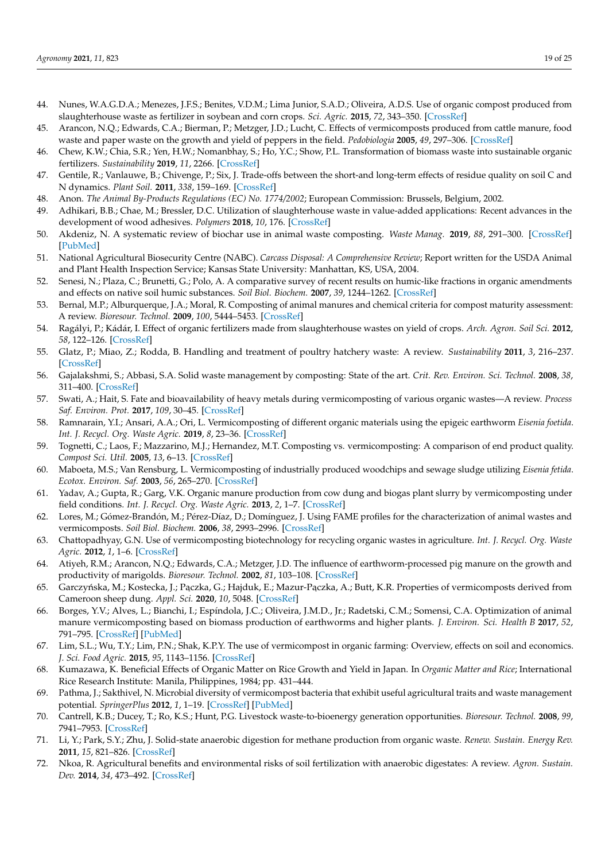- 44. Nunes, W.A.G.D.A.; Menezes, J.F.S.; Benites, V.D.M.; Lima Junior, S.A.D.; Oliveira, A.D.S. Use of organic compost produced from slaughterhouse waste as fertilizer in soybean and corn crops. *Sci. Agric.* **2015**, *72*, 343–350. [CrossRef]
- 45. Arancon, N.Q.; Edwards, C.A.; Bierman, P.; Metzger, J.D.; Lucht, C. Effects of vermicomposts produced from cattle manure, food waste and paper waste on the growth and yield of peppers in the field. *Pedobiologia* **2005**, *49*, 297–306. [CrossRef]
- 46. Chew, K.W.; Chia, S.R.; Yen, H.W.; Nomanbhay, S.; Ho, Y.C.; Show, P.L. Transformation of biomass waste into sustainable organic fertilizers. *Sustainability* **2019**, *11*, 2266. [CrossRef]
- 47. Gentile, R.; Vanlauwe, B.; Chivenge, P.; Six, J. Trade-offs between the short-and long-term effects of residue quality on soil C and N dynamics. *Plant Soil.* **2011**, *338*, 159–169. [CrossRef]
- 48. Anon. *The Animal By-Products Regulations (EC) No. 1774/2002*; European Commission: Brussels, Belgium, 2002.
- 49. Adhikari, B.B.; Chae, M.; Bressler, D.C. Utilization of slaughterhouse waste in value-added applications: Recent advances in the development of wood adhesives. *Polymers* **2018**, *10*, 176. [CrossRef]
- 50. Akdeniz, N. A systematic review of biochar use in animal waste composting. *Waste Manag.* **2019**, *88*, 291–300. [CrossRef] [PubMed]
- 51. National Agricultural Biosecurity Centre (NABC). *Carcass Disposal: A Comprehensive Review*; Report written for the USDA Animal and Plant Health Inspection Service; Kansas State University: Manhattan, KS, USA, 2004.
- 52. Senesi, N.; Plaza, C.; Brunetti, G.; Polo, A. A comparative survey of recent results on humic-like fractions in organic amendments and effects on native soil humic substances. *Soil Biol. Biochem.* **2007**, *39*, 1244–1262. [CrossRef]
- 53. Bernal, M.P.; Alburquerque, J.A.; Moral, R. Composting of animal manures and chemical criteria for compost maturity assessment: A review. *Bioresour. Technol.* **2009**, *100*, 5444–5453. [CrossRef]
- 54. Ragályi, P.; Kádár, I. Effect of organic fertilizers made from slaughterhouse wastes on yield of crops. *Arch. Agron. Soil Sci.* **2012**, *58*, 122–126. [CrossRef]
- 55. Glatz, P.; Miao, Z.; Rodda, B. Handling and treatment of poultry hatchery waste: A review. *Sustainability* **2011**, *3*, 216–237. [CrossRef]
- 56. Gajalakshmi, S.; Abbasi, S.A. Solid waste management by composting: State of the art. *Crit. Rev. Environ. Sci. Technol.* **2008**, *38*, 311–400. [CrossRef]
- 57. Swati, A.; Hait, S. Fate and bioavailability of heavy metals during vermicomposting of various organic wastes—A review. *Process Saf. Environ. Prot.* **2017**, *109*, 30–45. [CrossRef]
- 58. Ramnarain, Y.I.; Ansari, A.A.; Ori, L. Vermicomposting of different organic materials using the epigeic earthworm *Eisenia foetida*. *Int. J. Recycl. Org. Waste Agric.* **2019**, *8*, 23–36. [CrossRef]
- 59. Tognetti, C.; Laos, F.; Mazzarino, M.J.; Hernandez, M.T. Composting vs. vermicomposting: A comparison of end product quality. *Compost Sci. Util.* **2005**, *13*, 6–13. [CrossRef]
- 60. Maboeta, M.S.; Van Rensburg, L. Vermicomposting of industrially produced woodchips and sewage sludge utilizing *Eisenia fetida*. *Ecotox. Environ. Saf.* **2003**, *56*, 265–270. [CrossRef]
- 61. Yadav, A.; Gupta, R.; Garg, V.K. Organic manure production from cow dung and biogas plant slurry by vermicomposting under field conditions. *Int. J. Recycl. Org. Waste Agric.* **2013**, *2*, 1–7. [CrossRef]
- 62. Lores, M.; Gómez-Brandón, M.; Pérez-Díaz, D.; Domínguez, J. Using FAME profiles for the characterization of animal wastes and vermicomposts. *Soil Biol. Biochem.* **2006**, *38*, 2993–2996. [CrossRef]
- 63. Chattopadhyay, G.N. Use of vermicomposting biotechnology for recycling organic wastes in agriculture. *Int. J. Recycl. Org. Waste Agric.* **2012**, *1*, 1–6. [CrossRef]
- 64. Atiyeh, R.M.; Arancon, N.Q.; Edwards, C.A.; Metzger, J.D. The influence of earthworm-processed pig manure on the growth and productivity of marigolds. *Bioresour. Technol.* **2002**, *81*, 103–108. [CrossRef]
- 65. Garczyńska, M.; Kostecka, J.; Pączka, G.; Hajduk, E.; Mazur-Pączka, A.; Butt, K.R. Properties of vermicomposts derived from Cameroon sheep dung. *Appl. Sci.* **2020**, *10*, 5048. [CrossRef]
- 66. Borges, Y.V.; Alves, L.; Bianchi, I.; Espíndola, J.C.; Oliveira, J.M.D., Jr.; Radetski, C.M.; Somensi, C.A. Optimization of animal manure vermicomposting based on biomass production of earthworms and higher plants. *J. Environ. Sci. Health B* **2017**, *52*, 791–795. [CrossRef] [PubMed]
- 67. Lim, S.L.; Wu, T.Y.; Lim, P.N.; Shak, K.P.Y. The use of vermicompost in organic farming: Overview, effects on soil and economics. *J. Sci. Food Agric.* **2015**, *95*, 1143–1156. [CrossRef]
- 68. Kumazawa, K. Beneficial Effects of Organic Matter on Rice Growth and Yield in Japan. In *Organic Matter and Rice*; International Rice Research Institute: Manila, Philippines, 1984; pp. 431–444.
- 69. Pathma, J.; Sakthivel, N. Microbial diversity of vermicompost bacteria that exhibit useful agricultural traits and waste management potential. *SpringerPlus* **2012**, *1*, 1–19. [CrossRef] [PubMed]
- 70. Cantrell, K.B.; Ducey, T.; Ro, K.S.; Hunt, P.G. Livestock waste-to-bioenergy generation opportunities. *Bioresour. Technol.* **2008**, *99*, 7941–7953. [CrossRef]
- 71. Li, Y.; Park, S.Y.; Zhu, J. Solid-state anaerobic digestion for methane production from organic waste. *Renew. Sustain. Energy Rev.* **2011**, *15*, 821–826. [CrossRef]
- 72. Nkoa, R. Agricultural benefits and environmental risks of soil fertilization with anaerobic digestates: A review. *Agron. Sustain. Dev.* **2014**, *34*, 473–492. [CrossRef]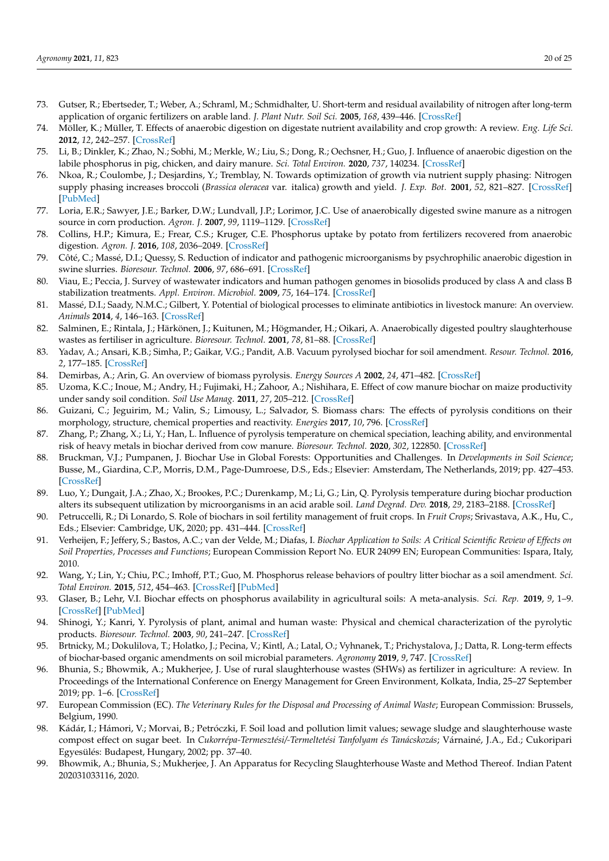- 73. Gutser, R.; Ebertseder, T.; Weber, A.; Schraml, M.; Schmidhalter, U. Short-term and residual availability of nitrogen after long-term application of organic fertilizers on arable land. *J. Plant Nutr. Soil Sci.* **2005**, *168*, 439–446. [CrossRef]
- 74. Möller, K.; Müller, T. Effects of anaerobic digestion on digestate nutrient availability and crop growth: A review. *Eng. Life Sci.* **2012**, *12*, 242–257. [CrossRef]
- 75. Li, B.; Dinkler, K.; Zhao, N.; Sobhi, M.; Merkle, W.; Liu, S.; Dong, R.; Oechsner, H.; Guo, J. Influence of anaerobic digestion on the labile phosphorus in pig, chicken, and dairy manure. *Sci. Total Environ.* **2020**, *737*, 140234. [CrossRef]
- 76. Nkoa, R.; Coulombe, J.; Desjardins, Y.; Tremblay, N. Towards optimization of growth via nutrient supply phasing: Nitrogen supply phasing increases broccoli (*Brassica oleracea* var. italica) growth and yield. *J. Exp. Bot.* **2001**, *52*, 821–827. [CrossRef] [PubMed]
- 77. Loria, E.R.; Sawyer, J.E.; Barker, D.W.; Lundvall, J.P.; Lorimor, J.C. Use of anaerobically digested swine manure as a nitrogen source in corn production. *Agron. J.* **2007**, *99*, 1119–1129. [CrossRef]
- 78. Collins, H.P.; Kimura, E.; Frear, C.S.; Kruger, C.E. Phosphorus uptake by potato from fertilizers recovered from anaerobic digestion. *Agron. J.* **2016**, *108*, 2036–2049. [CrossRef]
- 79. Côté, C.; Massé, D.I.; Quessy, S. Reduction of indicator and pathogenic microorganisms by psychrophilic anaerobic digestion in swine slurries. *Bioresour. Technol.* **2006**, *97*, 686–691. [CrossRef]
- 80. Viau, E.; Peccia, J. Survey of wastewater indicators and human pathogen genomes in biosolids produced by class A and class B stabilization treatments. *Appl. Environ. Microbiol.* **2009**, *75*, 164–174. [CrossRef]
- 81. Massé, D.I.; Saady, N.M.C.; Gilbert, Y. Potential of biological processes to eliminate antibiotics in livestock manure: An overview. *Animals* **2014**, *4*, 146–163. [CrossRef]
- 82. Salminen, E.; Rintala, J.; Härkönen, J.; Kuitunen, M.; Högmander, H.; Oikari, A. Anaerobically digested poultry slaughterhouse wastes as fertiliser in agriculture. *Bioresour. Technol.* **2001**, *78*, 81–88. [CrossRef]
- 83. Yadav, A.; Ansari, K.B.; Simha, P.; Gaikar, V.G.; Pandit, A.B. Vacuum pyrolysed biochar for soil amendment. *Resour. Technol.* **2016**, *2*, 177–185. [CrossRef]
- 84. Demirbas, A.; Arin, G. An overview of biomass pyrolysis. *Energy Sources A* **2002**, *24*, 471–482. [CrossRef]
- 85. Uzoma, K.C.; Inoue, M.; Andry, H.; Fujimaki, H.; Zahoor, A.; Nishihara, E. Effect of cow manure biochar on maize productivity under sandy soil condition. *Soil Use Manag.* **2011**, *27*, 205–212. [CrossRef]
- 86. Guizani, C.; Jeguirim, M.; Valin, S.; Limousy, L.; Salvador, S. Biomass chars: The effects of pyrolysis conditions on their morphology, structure, chemical properties and reactivity. *Energies* **2017**, *10*, 796. [CrossRef]
- 87. Zhang, P.; Zhang, X.; Li, Y.; Han, L. Influence of pyrolysis temperature on chemical speciation, leaching ability, and environmental risk of heavy metals in biochar derived from cow manure. *Bioresour. Technol.* **2020**, *302*, 122850. [CrossRef]
- 88. Bruckman, V.J.; Pumpanen, J. Biochar Use in Global Forests: Opportunities and Challenges. In *Developments in Soil Science*; Busse, M., Giardina, C.P., Morris, D.M., Page-Dumroese, D.S., Eds.; Elsevier: Amsterdam, The Netherlands, 2019; pp. 427–453. [CrossRef]
- 89. Luo, Y.; Dungait, J.A.; Zhao, X.; Brookes, P.C.; Durenkamp, M.; Li, G.; Lin, Q. Pyrolysis temperature during biochar production alters its subsequent utilization by microorganisms in an acid arable soil. *Land Degrad. Dev.* **2018**, *29*, 2183–2188. [CrossRef]
- 90. Petruccelli, R.; Di Lonardo, S. Role of biochars in soil fertility management of fruit crops. In *Fruit Crops*; Srivastava, A.K., Hu, C., Eds.; Elsevier: Cambridge, UK, 2020; pp. 431–444. [CrossRef]
- 91. Verheijen, F.; Jeffery, S.; Bastos, A.C.; van der Velde, M.; Diafas, I. *Biochar Application to Soils: A Critical Scientific Review of Effects on Soil Properties, Processes and Functions*; European Commission Report No. EUR 24099 EN; European Communities: Ispara, Italy, 2010.
- 92. Wang, Y.; Lin, Y.; Chiu, P.C.; Imhoff, P.T.; Guo, M. Phosphorus release behaviors of poultry litter biochar as a soil amendment. *Sci. Total Environ.* **2015**, *512*, 454–463. [CrossRef] [PubMed]
- 93. Glaser, B.; Lehr, V.I. Biochar effects on phosphorus availability in agricultural soils: A meta-analysis. *Sci. Rep.* **2019**, *9*, 1–9. [CrossRef] [PubMed]
- 94. Shinogi, Y.; Kanri, Y. Pyrolysis of plant, animal and human waste: Physical and chemical characterization of the pyrolytic products. *Bioresour. Technol.* **2003**, *90*, 241–247. [CrossRef]
- 95. Brtnicky, M.; Dokulilova, T.; Holatko, J.; Pecina, V.; Kintl, A.; Latal, O.; Vyhnanek, T.; Prichystalova, J.; Datta, R. Long-term effects of biochar-based organic amendments on soil microbial parameters. *Agronomy* **2019**, *9*, 747. [CrossRef]
- 96. Bhunia, S.; Bhowmik, A.; Mukherjee, J. Use of rural slaughterhouse wastes (SHWs) as fertilizer in agriculture: A review. In Proceedings of the International Conference on Energy Management for Green Environment, Kolkata, India, 25–27 September 2019; pp. 1–6. [CrossRef]
- 97. European Commission (EC). *The Veterinary Rules for the Disposal and Processing of Animal Waste*; European Commission: Brussels, Belgium, 1990.
- 98. Kádár, I.; Hámori, V.; Morvai, B.; Petróczki, F. Soil load and pollution limit values; sewage sludge and slaughterhouse waste compost effect on sugar beet. In *Cukorrépa-Termesztési/-Termeltetési Tanfolyam és Tanácskozás*; Várnainé, J.A., Ed.; Cukoripari Egyesülés: Budapest, Hungary, 2002; pp. 37–40.
- 99. Bhowmik, A.; Bhunia, S.; Mukherjee, J. An Apparatus for Recycling Slaughterhouse Waste and Method Thereof. Indian Patent 202031033116, 2020.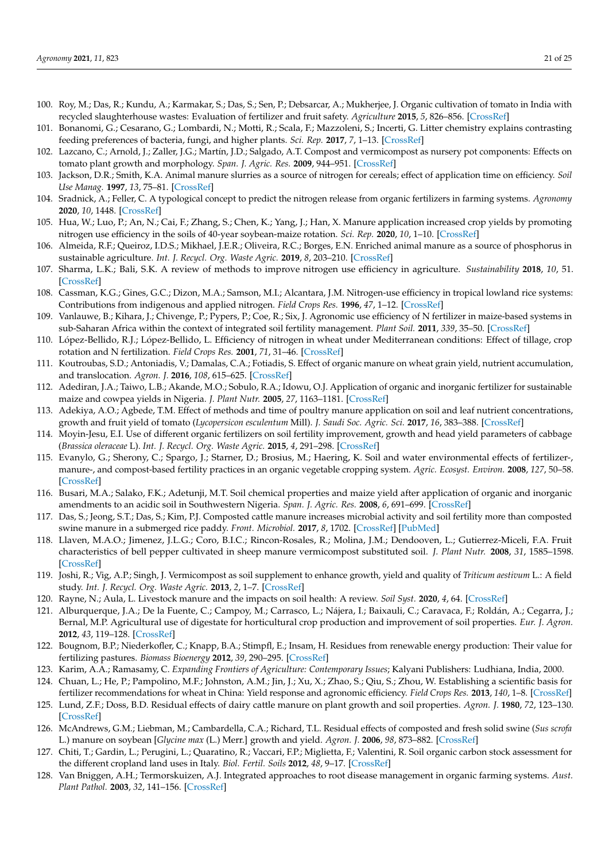- 100. Roy, M.; Das, R.; Kundu, A.; Karmakar, S.; Das, S.; Sen, P.; Debsarcar, A.; Mukherjee, J. Organic cultivation of tomato in India with recycled slaughterhouse wastes: Evaluation of fertilizer and fruit safety. *Agriculture* **2015**, *5*, 826–856. [CrossRef]
- 101. Bonanomi, G.; Cesarano, G.; Lombardi, N.; Motti, R.; Scala, F.; Mazzoleni, S.; Incerti, G. Litter chemistry explains contrasting feeding preferences of bacteria, fungi, and higher plants. *Sci. Rep.* **2017**, *7*, 1–13. [CrossRef]
- 102. Lazcano, C.; Arnold, J.; Zaller, J.G.; Martín, J.D.; Salgado, A.T. Compost and vermicompost as nursery pot components: Effects on tomato plant growth and morphology. *Span. J. Agric. Res.* **2009**, 944–951. [CrossRef]
- 103. Jackson, D.R.; Smith, K.A. Animal manure slurries as a source of nitrogen for cereals; effect of application time on efficiency. *Soil Use Manag.* **1997**, *13*, 75–81. [CrossRef]
- 104. Sradnick, A.; Feller, C. A typological concept to predict the nitrogen release from organic fertilizers in farming systems. *Agronomy* **2020**, *10*, 1448. [CrossRef]
- 105. Hua, W.; Luo, P.; An, N.; Cai, F.; Zhang, S.; Chen, K.; Yang, J.; Han, X. Manure application increased crop yields by promoting nitrogen use efficiency in the soils of 40-year soybean-maize rotation. *Sci. Rep.* **2020**, *10*, 1–10. [CrossRef]
- 106. Almeida, R.F.; Queiroz, I.D.S.; Mikhael, J.E.R.; Oliveira, R.C.; Borges, E.N. Enriched animal manure as a source of phosphorus in sustainable agriculture. *Int. J. Recycl. Org. Waste Agric.* **2019**, *8*, 203–210. [CrossRef]
- 107. Sharma, L.K.; Bali, S.K. A review of methods to improve nitrogen use efficiency in agriculture. *Sustainability* **2018**, *10*, 51. [CrossRef]
- 108. Cassman, K.G.; Gines, G.C.; Dizon, M.A.; Samson, M.I.; Alcantara, J.M. Nitrogen-use efficiency in tropical lowland rice systems: Contributions from indigenous and applied nitrogen. *Field Crops Res.* **1996**, *47*, 1–12. [CrossRef]
- 109. Vanlauwe, B.; Kihara, J.; Chivenge, P.; Pypers, P.; Coe, R.; Six, J. Agronomic use efficiency of N fertilizer in maize-based systems in sub-Saharan Africa within the context of integrated soil fertility management. *Plant Soil.* **2011**, *339*, 35–50. [CrossRef]
- 110. López-Bellido, R.J.; López-Bellido, L. Efficiency of nitrogen in wheat under Mediterranean conditions: Effect of tillage, crop rotation and N fertilization. *Field Crops Res.* **2001**, *71*, 31–46. [CrossRef]
- 111. Koutroubas, S.D.; Antoniadis, V.; Damalas, C.A.; Fotiadis, S. Effect of organic manure on wheat grain yield, nutrient accumulation, and translocation. *Agron. J.* **2016**, *108*, 615–625. [CrossRef]
- 112. Adediran, J.A.; Taiwo, L.B.; Akande, M.O.; Sobulo, R.A.; Idowu, O.J. Application of organic and inorganic fertilizer for sustainable maize and cowpea yields in Nigeria. *J. Plant Nutr.* **2005**, *27*, 1163–1181. [CrossRef]
- 113. Adekiya, A.O.; Agbede, T.M. Effect of methods and time of poultry manure application on soil and leaf nutrient concentrations, growth and fruit yield of tomato (*Lycopersicon esculentum* Mill). *J. Saudi Soc. Agric. Sci.* **2017**, *16*, 383–388. [CrossRef]
- 114. Moyin-Jesu, E.I. Use of different organic fertilizers on soil fertility improvement, growth and head yield parameters of cabbage (*Brassica oleraceae* L). *Int. J. Recycl. Org. Waste Agric.* **2015**, *4*, 291–298. [CrossRef]
- 115. Evanylo, G.; Sherony, C.; Spargo, J.; Starner, D.; Brosius, M.; Haering, K. Soil and water environmental effects of fertilizer-, manure-, and compost-based fertility practices in an organic vegetable cropping system. *Agric. Ecosyst. Environ.* **2008**, *127*, 50–58. [CrossRef]
- 116. Busari, M.A.; Salako, F.K.; Adetunji, M.T. Soil chemical properties and maize yield after application of organic and inorganic amendments to an acidic soil in Southwestern Nigeria. *Span. J. Agric. Res.* **2008**, *6*, 691–699. [CrossRef]
- 117. Das, S.; Jeong, S.T.; Das, S.; Kim, P.J. Composted cattle manure increases microbial activity and soil fertility more than composted swine manure in a submerged rice paddy. *Front. Microbiol.* **2017**, *8*, 1702. [CrossRef] [PubMed]
- 118. Llaven, M.A.O.; Jimenez, J.L.G.; Coro, B.I.C.; Rincon-Rosales, R.; Molina, J.M.; Dendooven, L.; Gutierrez-Miceli, F.A. Fruit characteristics of bell pepper cultivated in sheep manure vermicompost substituted soil. *J. Plant Nutr.* **2008**, *31*, 1585–1598. [CrossRef]
- 119. Joshi, R.; Vig, A.P.; Singh, J. Vermicompost as soil supplement to enhance growth, yield and quality of *Triticum aestivum* L.: A field study. *Int. J. Recycl. Org. Waste Agric.* **2013**, *2*, 1–7. [CrossRef]
- 120. Rayne, N.; Aula, L. Livestock manure and the impacts on soil health: A review. *Soil Syst.* **2020**, *4*, 64. [CrossRef]
- 121. Alburquerque, J.A.; De la Fuente, C.; Campoy, M.; Carrasco, L.; Nájera, I.; Baixauli, C.; Caravaca, F.; Roldán, A.; Cegarra, J.; Bernal, M.P. Agricultural use of digestate for horticultural crop production and improvement of soil properties. *Eur. J. Agron.* **2012**, *43*, 119–128. [CrossRef]
- 122. Bougnom, B.P.; Niederkofler, C.; Knapp, B.A.; Stimpfl, E.; Insam, H. Residues from renewable energy production: Their value for fertilizing pastures. *Biomass Bioenergy* **2012**, *39*, 290–295. [CrossRef]
- 123. Karim, A.A.; Ramasamy, C. *Expanding Frontiers of Agriculture: Contemporary Issues*; Kalyani Publishers: Ludhiana, India, 2000.
- 124. Chuan, L.; He, P.; Pampolino, M.F.; Johnston, A.M.; Jin, J.; Xu, X.; Zhao, S.; Qiu, S.; Zhou, W. Establishing a scientific basis for fertilizer recommendations for wheat in China: Yield response and agronomic efficiency. *Field Crops Res.* **2013**, *140*, 1–8. [CrossRef]
- 125. Lund, Z.F.; Doss, B.D. Residual effects of dairy cattle manure on plant growth and soil properties. *Agron. J.* **1980**, *72*, 123–130. [CrossRef]
- 126. McAndrews, G.M.; Liebman, M.; Cambardella, C.A.; Richard, T.L. Residual effects of composted and fresh solid swine (*Sus scrofa* L.) manure on soybean [*Glycine max* (L.) Merr.] growth and yield. *Agron. J.* **2006**, *98*, 873–882. [CrossRef]
- 127. Chiti, T.; Gardin, L.; Perugini, L.; Quaratino, R.; Vaccari, F.P.; Miglietta, F.; Valentini, R. Soil organic carbon stock assessment for the different cropland land uses in Italy. *Biol. Fertil. Soils* **2012**, *48*, 9–17. [CrossRef]
- 128. Van Bniggen, A.H.; Termorskuizen, A.J. Integrated approaches to root disease management in organic farming systems. *Aust. Plant Pathol.* **2003**, *32*, 141–156. [CrossRef]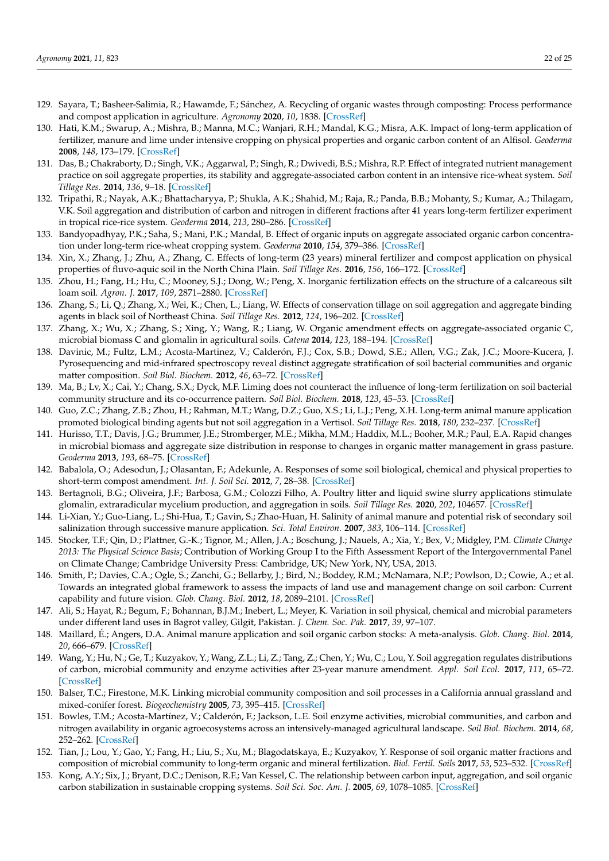- 129. Sayara, T.; Basheer-Salimia, R.; Hawamde, F.; Sánchez, A. Recycling of organic wastes through composting: Process performance and compost application in agriculture. *Agronomy* **2020**, *10*, 1838. [CrossRef]
- 130. Hati, K.M.; Swarup, A.; Mishra, B.; Manna, M.C.; Wanjari, R.H.; Mandal, K.G.; Misra, A.K. Impact of long-term application of fertilizer, manure and lime under intensive cropping on physical properties and organic carbon content of an Alfisol. *Geoderma* **2008**, *148*, 173–179. [CrossRef]
- 131. Das, B.; Chakraborty, D.; Singh, V.K.; Aggarwal, P.; Singh, R.; Dwivedi, B.S.; Mishra, R.P. Effect of integrated nutrient management practice on soil aggregate properties, its stability and aggregate-associated carbon content in an intensive rice-wheat system. *Soil Tillage Res.* **2014**, *136*, 9–18. [CrossRef]
- 132. Tripathi, R.; Nayak, A.K.; Bhattacharyya, P.; Shukla, A.K.; Shahid, M.; Raja, R.; Panda, B.B.; Mohanty, S.; Kumar, A.; Thilagam, V.K. Soil aggregation and distribution of carbon and nitrogen in different fractions after 41 years long-term fertilizer experiment in tropical rice-rice system. *Geoderma* **2014**, *213*, 280–286. [CrossRef]
- 133. Bandyopadhyay, P.K.; Saha, S.; Mani, P.K.; Mandal, B. Effect of organic inputs on aggregate associated organic carbon concentration under long-term rice-wheat cropping system. *Geoderma* **2010**, *154*, 379–386. [CrossRef]
- 134. Xin, X.; Zhang, J.; Zhu, A.; Zhang, C. Effects of long-term (23 years) mineral fertilizer and compost application on physical properties of fluvo-aquic soil in the North China Plain. *Soil Tillage Res.* **2016**, *156*, 166–172. [CrossRef]
- 135. Zhou, H.; Fang, H.; Hu, C.; Mooney, S.J.; Dong, W.; Peng, X. Inorganic fertilization effects on the structure of a calcareous silt loam soil. *Agron. J.* **2017**, *109*, 2871–2880. [CrossRef]
- 136. Zhang, S.; Li, Q.; Zhang, X.; Wei, K.; Chen, L.; Liang, W. Effects of conservation tillage on soil aggregation and aggregate binding agents in black soil of Northeast China. *Soil Tillage Res.* **2012**, *124*, 196–202. [CrossRef]
- 137. Zhang, X.; Wu, X.; Zhang, S.; Xing, Y.; Wang, R.; Liang, W. Organic amendment effects on aggregate-associated organic C, microbial biomass C and glomalin in agricultural soils. *Catena* **2014**, *123*, 188–194. [CrossRef]
- 138. Davinic, M.; Fultz, L.M.; Acosta-Martinez, V.; Calderón, F.J.; Cox, S.B.; Dowd, S.E.; Allen, V.G.; Zak, J.C.; Moore-Kucera, J. Pyrosequencing and mid-infrared spectroscopy reveal distinct aggregate stratification of soil bacterial communities and organic matter composition. *Soil Biol. Biochem.* **2012**, *46*, 63–72. [CrossRef]
- 139. Ma, B.; Lv, X.; Cai, Y.; Chang, S.X.; Dyck, M.F. Liming does not counteract the influence of long-term fertilization on soil bacterial community structure and its co-occurrence pattern. *Soil Biol. Biochem.* **2018**, *123*, 45–53. [CrossRef]
- 140. Guo, Z.C.; Zhang, Z.B.; Zhou, H.; Rahman, M.T.; Wang, D.Z.; Guo, X.S.; Li, L.J.; Peng, X.H. Long-term animal manure application promoted biological binding agents but not soil aggregation in a Vertisol. *Soil Tillage Res.* **2018**, *180*, 232–237. [CrossRef]
- 141. Hurisso, T.T.; Davis, J.G.; Brummer, J.E.; Stromberger, M.E.; Mikha, M.M.; Haddix, M.L.; Booher, M.R.; Paul, E.A. Rapid changes in microbial biomass and aggregate size distribution in response to changes in organic matter management in grass pasture. *Geoderma* **2013**, *193*, 68–75. [CrossRef]
- 142. Babalola, O.; Adesodun, J.; Olasantan, F.; Adekunle, A. Responses of some soil biological, chemical and physical properties to short-term compost amendment. *Int. J. Soil Sci.* **2012**, *7*, 28–38. [CrossRef]
- 143. Bertagnoli, B.G.; Oliveira, J.F.; Barbosa, G.M.; Colozzi Filho, A. Poultry litter and liquid swine slurry applications stimulate glomalin, extraradicular mycelium production, and aggregation in soils. *Soil Tillage Res.* **2020**, *202*, 104657. [CrossRef]
- 144. Li-Xian, Y.; Guo-Liang, L.; Shi-Hua, T.; Gavin, S.; Zhao-Huan, H. Salinity of animal manure and potential risk of secondary soil salinization through successive manure application. *Sci. Total Environ.* **2007**, *383*, 106–114. [CrossRef]
- 145. Stocker, T.F.; Qin, D.; Plattner, G.-K.; Tignor, M.; Allen, J.A.; Boschung, J.; Nauels, A.; Xia, Y.; Bex, V.; Midgley, P.M. *Climate Change 2013: The Physical Science Basis*; Contribution of Working Group I to the Fifth Assessment Report of the Intergovernmental Panel on Climate Change; Cambridge University Press: Cambridge, UK; New York, NY, USA, 2013.
- 146. Smith, P.; Davies, C.A.; Ogle, S.; Zanchi, G.; Bellarby, J.; Bird, N.; Boddey, R.M.; McNamara, N.P.; Powlson, D.; Cowie, A.; et al. Towards an integrated global framework to assess the impacts of land use and management change on soil carbon: Current capability and future vision. *Glob. Chang. Biol.* **2012**, *18*, 2089–2101. [CrossRef]
- 147. Ali, S.; Hayat, R.; Begum, F.; Bohannan, B.J.M.; Inebert, L.; Meyer, K. Variation in soil physical, chemical and microbial parameters under different land uses in Bagrot valley, Gilgit, Pakistan. *J. Chem. Soc. Pak.* **2017**, *39*, 97–107.
- 148. Maillard, É.; Angers, D.A. Animal manure application and soil organic carbon stocks: A meta-analysis. *Glob. Chang. Biol.* **2014**, *20*, 666–679. [CrossRef]
- 149. Wang, Y.; Hu, N.; Ge, T.; Kuzyakov, Y.; Wang, Z.L.; Li, Z.; Tang, Z.; Chen, Y.; Wu, C.; Lou, Y. Soil aggregation regulates distributions of carbon, microbial community and enzyme activities after 23-year manure amendment. *Appl. Soil Ecol.* **2017**, *111*, 65–72. [CrossRef]
- 150. Balser, T.C.; Firestone, M.K. Linking microbial community composition and soil processes in a California annual grassland and mixed-conifer forest. *Biogeochemistry* **2005**, *73*, 395–415. [CrossRef]
- 151. Bowles, T.M.; Acosta-Martínez, V.; Calderón, F.; Jackson, L.E. Soil enzyme activities, microbial communities, and carbon and nitrogen availability in organic agroecosystems across an intensively-managed agricultural landscape. *Soil Biol. Biochem.* **2014**, *68*, 252–262. [CrossRef]
- 152. Tian, J.; Lou, Y.; Gao, Y.; Fang, H.; Liu, S.; Xu, M.; Blagodatskaya, E.; Kuzyakov, Y. Response of soil organic matter fractions and composition of microbial community to long-term organic and mineral fertilization. *Biol. Fertil. Soils* **2017**, *53*, 523–532. [CrossRef]
- 153. Kong, A.Y.; Six, J.; Bryant, D.C.; Denison, R.F.; Van Kessel, C. The relationship between carbon input, aggregation, and soil organic carbon stabilization in sustainable cropping systems. *Soil Sci. Soc. Am. J.* **2005**, *69*, 1078–1085. [CrossRef]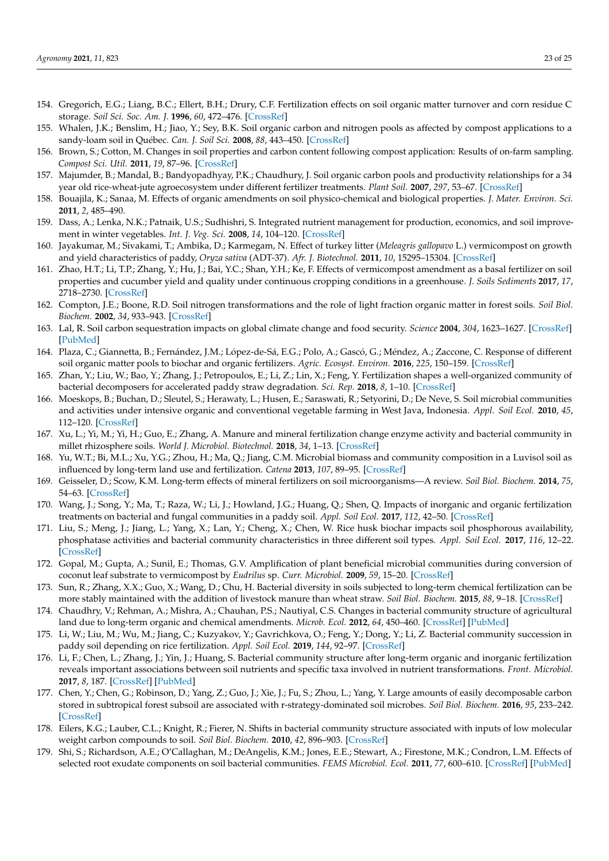- 154. Gregorich, E.G.; Liang, B.C.; Ellert, B.H.; Drury, C.F. Fertilization effects on soil organic matter turnover and corn residue C storage. *Soil Sci. Soc. Am. J.* **1996**, *60*, 472–476. [CrossRef]
- 155. Whalen, J.K.; Benslim, H.; Jiao, Y.; Sey, B.K. Soil organic carbon and nitrogen pools as affected by compost applications to a sandy-loam soil in Québec. *Can. J. Soil Sci.* **2008**, *88*, 443–450. [CrossRef]
- 156. Brown, S.; Cotton, M. Changes in soil properties and carbon content following compost application: Results of on-farm sampling. *Compost Sci. Util.* **2011**, *19*, 87–96. [CrossRef]
- 157. Majumder, B.; Mandal, B.; Bandyopadhyay, P.K.; Chaudhury, J. Soil organic carbon pools and productivity relationships for a 34 year old rice-wheat-jute agroecosystem under different fertilizer treatments. *Plant Soil.* **2007**, *297*, 53–67. [CrossRef]
- 158. Bouajila, K.; Sanaa, M. Effects of organic amendments on soil physico-chemical and biological properties. *J. Mater. Environ. Sci.* **2011**, *2*, 485–490.
- 159. Dass, A.; Lenka, N.K.; Patnaik, U.S.; Sudhishri, S. Integrated nutrient management for production, economics, and soil improvement in winter vegetables. *Int. J. Veg. Sci.* **2008**, *14*, 104–120. [CrossRef]
- 160. Jayakumar, M.; Sivakami, T.; Ambika, D.; Karmegam, N. Effect of turkey litter (*Meleagris gallopavo* L.) vermicompost on growth and yield characteristics of paddy, *Oryza sativa* (ADT-37). *Afr. J. Biotechnol.* **2011**, *10*, 15295–15304. [CrossRef]
- 161. Zhao, H.T.; Li, T.P.; Zhang, Y.; Hu, J.; Bai, Y.C.; Shan, Y.H.; Ke, F. Effects of vermicompost amendment as a basal fertilizer on soil properties and cucumber yield and quality under continuous cropping conditions in a greenhouse. *J. Soils Sediments* **2017**, *17*, 2718–2730. [CrossRef]
- 162. Compton, J.E.; Boone, R.D. Soil nitrogen transformations and the role of light fraction organic matter in forest soils. *Soil Biol. Biochem.* **2002**, *34*, 933–943. [CrossRef]
- 163. Lal, R. Soil carbon sequestration impacts on global climate change and food security. *Science* **2004**, *304*, 1623–1627. [CrossRef] [PubMed]
- 164. Plaza, C.; Giannetta, B.; Fernández, J.M.; López-de-Sá, E.G.; Polo, A.; Gascó, G.; Méndez, A.; Zaccone, C. Response of different soil organic matter pools to biochar and organic fertilizers. *Agric. Ecosyst. Environ.* **2016**, *225*, 150–159. [CrossRef]
- 165. Zhan, Y.; Liu, W.; Bao, Y.; Zhang, J.; Petropoulos, E.; Li, Z.; Lin, X.; Feng, Y. Fertilization shapes a well-organized community of bacterial decomposers for accelerated paddy straw degradation. *Sci. Rep.* **2018**, *8*, 1–10. [CrossRef]
- 166. Moeskops, B.; Buchan, D.; Sleutel, S.; Herawaty, L.; Husen, E.; Saraswati, R.; Setyorini, D.; De Neve, S. Soil microbial communities and activities under intensive organic and conventional vegetable farming in West Java, Indonesia. *Appl. Soil Ecol.* **2010**, *45*, 112–120. [CrossRef]
- 167. Xu, L.; Yi, M.; Yi, H.; Guo, E.; Zhang, A. Manure and mineral fertilization change enzyme activity and bacterial community in millet rhizosphere soils. *World J. Microbiol. Biotechnol.* **2018**, *34*, 1–13. [CrossRef]
- 168. Yu, W.T.; Bi, M.L.; Xu, Y.G.; Zhou, H.; Ma, Q.; Jiang, C.M. Microbial biomass and community composition in a Luvisol soil as influenced by long-term land use and fertilization. *Catena* **2013**, *107*, 89–95. [CrossRef]
- 169. Geisseler, D.; Scow, K.M. Long-term effects of mineral fertilizers on soil microorganisms—A review. *Soil Biol. Biochem.* **2014**, *75*, 54–63. [CrossRef]
- 170. Wang, J.; Song, Y.; Ma, T.; Raza, W.; Li, J.; Howland, J.G.; Huang, Q.; Shen, Q. Impacts of inorganic and organic fertilization treatments on bacterial and fungal communities in a paddy soil. *Appl. Soil Ecol.* **2017**, *112*, 42–50. [CrossRef]
- 171. Liu, S.; Meng, J.; Jiang, L.; Yang, X.; Lan, Y.; Cheng, X.; Chen, W. Rice husk biochar impacts soil phosphorous availability, phosphatase activities and bacterial community characteristics in three different soil types. *Appl. Soil Ecol.* **2017**, *116*, 12–22. [CrossRef]
- 172. Gopal, M.; Gupta, A.; Sunil, E.; Thomas, G.V. Amplification of plant beneficial microbial communities during conversion of coconut leaf substrate to vermicompost by *Eudrilus* sp. *Curr. Microbiol.* **2009**, *59*, 15–20. [CrossRef]
- 173. Sun, R.; Zhang, X.X.; Guo, X.; Wang, D.; Chu, H. Bacterial diversity in soils subjected to long-term chemical fertilization can be more stably maintained with the addition of livestock manure than wheat straw. *Soil Biol. Biochem.* **2015**, *88*, 9–18. [CrossRef]
- 174. Chaudhry, V.; Rehman, A.; Mishra, A.; Chauhan, P.S.; Nautiyal, C.S. Changes in bacterial community structure of agricultural land due to long-term organic and chemical amendments. *Microb. Ecol.* **2012**, *64*, 450–460. [CrossRef] [PubMed]
- 175. Li, W.; Liu, M.; Wu, M.; Jiang, C.; Kuzyakov, Y.; Gavrichkova, O.; Feng, Y.; Dong, Y.; Li, Z. Bacterial community succession in paddy soil depending on rice fertilization. *Appl. Soil Ecol.* **2019**, *144*, 92–97. [CrossRef]
- 176. Li, F.; Chen, L.; Zhang, J.; Yin, J.; Huang, S. Bacterial community structure after long-term organic and inorganic fertilization reveals important associations between soil nutrients and specific taxa involved in nutrient transformations. *Front. Microbiol.* **2017**, *8*, 187. [CrossRef] [PubMed]
- 177. Chen, Y.; Chen, G.; Robinson, D.; Yang, Z.; Guo, J.; Xie, J.; Fu, S.; Zhou, L.; Yang, Y. Large amounts of easily decomposable carbon stored in subtropical forest subsoil are associated with r-strategy-dominated soil microbes. *Soil Biol. Biochem.* **2016**, *95*, 233–242. [CrossRef]
- 178. Eilers, K.G.; Lauber, C.L.; Knight, R.; Fierer, N. Shifts in bacterial community structure associated with inputs of low molecular weight carbon compounds to soil. *Soil Biol. Biochem.* **2010**, *42*, 896–903. [CrossRef]
- 179. Shi, S.; Richardson, A.E.; O'Callaghan, M.; DeAngelis, K.M.; Jones, E.E.; Stewart, A.; Firestone, M.K.; Condron, L.M. Effects of selected root exudate components on soil bacterial communities. *FEMS Microbiol. Ecol.* **2011**, *77*, 600–610. [CrossRef] [PubMed]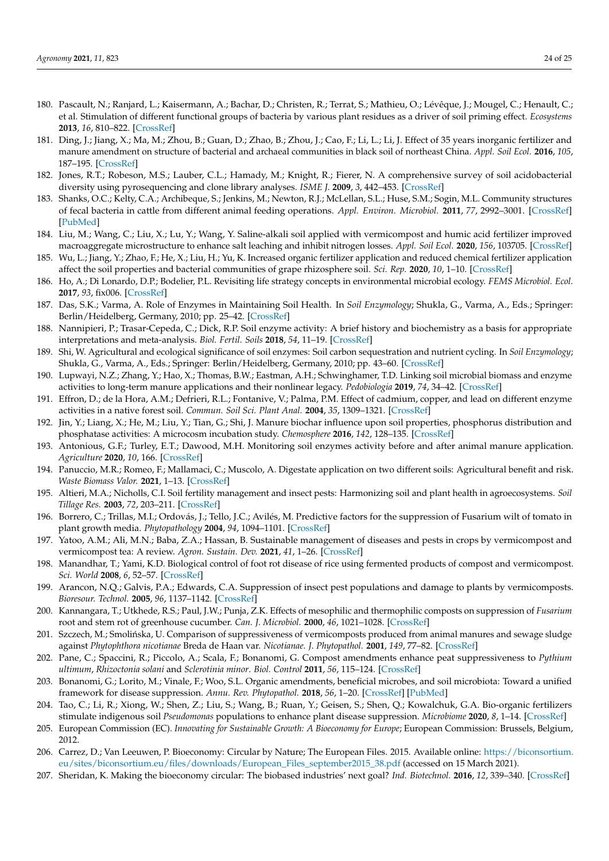- 180. Pascault, N.; Ranjard, L.; Kaisermann, A.; Bachar, D.; Christen, R.; Terrat, S.; Mathieu, O.; Lévêque, J.; Mougel, C.; Henault, C.; et al. Stimulation of different functional groups of bacteria by various plant residues as a driver of soil priming effect. *Ecosystems* **2013**, *16*, 810–822. [CrossRef]
- 181. Ding, J.; Jiang, X.; Ma, M.; Zhou, B.; Guan, D.; Zhao, B.; Zhou, J.; Cao, F.; Li, L.; Li, J. Effect of 35 years inorganic fertilizer and manure amendment on structure of bacterial and archaeal communities in black soil of northeast China. *Appl. Soil Ecol.* **2016**, *105*, 187–195. [CrossRef]
- 182. Jones, R.T.; Robeson, M.S.; Lauber, C.L.; Hamady, M.; Knight, R.; Fierer, N. A comprehensive survey of soil acidobacterial diversity using pyrosequencing and clone library analyses. *ISME J.* **2009**, *3*, 442–453. [CrossRef]
- 183. Shanks, O.C.; Kelty, C.A.; Archibeque, S.; Jenkins, M.; Newton, R.J.; McLellan, S.L.; Huse, S.M.; Sogin, M.L. Community structures of fecal bacteria in cattle from different animal feeding operations. *Appl. Environ. Microbiol.* **2011**, *77*, 2992–3001. [CrossRef] [PubMed]
- 184. Liu, M.; Wang, C.; Liu, X.; Lu, Y.; Wang, Y. Saline-alkali soil applied with vermicompost and humic acid fertilizer improved macroaggregate microstructure to enhance salt leaching and inhibit nitrogen losses. *Appl. Soil Ecol.* **2020**, *156*, 103705. [CrossRef]
- 185. Wu, L.; Jiang, Y.; Zhao, F.; He, X.; Liu, H.; Yu, K. Increased organic fertilizer application and reduced chemical fertilizer application affect the soil properties and bacterial communities of grape rhizosphere soil. *Sci. Rep.* **2020**, *10*, 1–10. [CrossRef]
- 186. Ho, A.; Di Lonardo, D.P.; Bodelier, P.L. Revisiting life strategy concepts in environmental microbial ecology. *FEMS Microbiol. Ecol.* **2017**, *93*, fix006. [CrossRef]
- 187. Das, S.K.; Varma, A. Role of Enzymes in Maintaining Soil Health. In *Soil Enzymology*; Shukla, G., Varma, A., Eds.; Springer: Berlin/Heidelberg, Germany, 2010; pp. 25–42. [CrossRef]
- 188. Nannipieri, P.; Trasar-Cepeda, C.; Dick, R.P. Soil enzyme activity: A brief history and biochemistry as a basis for appropriate interpretations and meta-analysis. *Biol. Fertil. Soils* **2018**, *54*, 11–19. [CrossRef]
- 189. Shi, W. Agricultural and ecological significance of soil enzymes: Soil carbon sequestration and nutrient cycling. In *Soil Enzymology*; Shukla, G., Varma, A., Eds.; Springer: Berlin/Heidelberg, Germany, 2010; pp. 43–60. [CrossRef]
- 190. Lupwayi, N.Z.; Zhang, Y.; Hao, X.; Thomas, B.W.; Eastman, A.H.; Schwinghamer, T.D. Linking soil microbial biomass and enzyme activities to long-term manure applications and their nonlinear legacy. *Pedobiologia* **2019**, *74*, 34–42. [CrossRef]
- 191. Effron, D.; de la Hora, A.M.; Defrieri, R.L.; Fontanive, V.; Palma, P.M. Effect of cadmium, copper, and lead on different enzyme activities in a native forest soil. *Commun. Soil Sci. Plant Anal.* **2004**, *35*, 1309–1321. [CrossRef]
- 192. Jin, Y.; Liang, X.; He, M.; Liu, Y.; Tian, G.; Shi, J. Manure biochar influence upon soil properties, phosphorus distribution and phosphatase activities: A microcosm incubation study. *Chemosphere* **2016**, *142*, 128–135. [CrossRef]
- 193. Antonious, G.F.; Turley, E.T.; Dawood, M.H. Monitoring soil enzymes activity before and after animal manure application. *Agriculture* **2020**, *10*, 166. [CrossRef]
- 194. Panuccio, M.R.; Romeo, F.; Mallamaci, C.; Muscolo, A. Digestate application on two different soils: Agricultural benefit and risk. *Waste Biomass Valor.* **2021**, 1–13. [CrossRef]
- 195. Altieri, M.A.; Nicholls, C.I. Soil fertility management and insect pests: Harmonizing soil and plant health in agroecosystems. *Soil Tillage Res.* **2003**, *72*, 203–211. [CrossRef]
- 196. Borrero, C.; Trillas, M.I.; Ordovás, J.; Tello, J.C.; Avilés, M. Predictive factors for the suppression of Fusarium wilt of tomato in plant growth media. *Phytopathology* **2004**, *94*, 1094–1101. [CrossRef]
- 197. Yatoo, A.M.; Ali, M.N.; Baba, Z.A.; Hassan, B. Sustainable management of diseases and pests in crops by vermicompost and vermicompost tea: A review. *Agron. Sustain. Dev.* **2021**, *41*, 1–26. [CrossRef]
- 198. Manandhar, T.; Yami, K.D. Biological control of foot rot disease of rice using fermented products of compost and vermicompost. *Sci. World* **2008**, *6*, 52–57. [CrossRef]
- 199. Arancon, N.Q.; Galvis, P.A.; Edwards, C.A. Suppression of insect pest populations and damage to plants by vermicomposts. *Bioresour. Technol.* **2005**, *96*, 1137–1142. [CrossRef]
- 200. Kannangara, T.; Utkhede, R.S.; Paul, J.W.; Punja, Z.K. Effects of mesophilic and thermophilic composts on suppression of *Fusarium* root and stem rot of greenhouse cucumber. *Can. J. Microbiol.* **2000**, *46*, 1021–1028. [CrossRef]
- 201. Szczech, M.; Smolińska, U. Comparison of suppressiveness of vermicomposts produced from animal manures and sewage sludge against *Phytophthora nicotianae* Breda de Haan var. *Nicotianae. J. Phytopathol.* **2001**, *149*, 77–82. [CrossRef]
- 202. Pane, C.; Spaccini, R.; Piccolo, A.; Scala, F.; Bonanomi, G. Compost amendments enhance peat suppressiveness to *Pythium ultimum*, *Rhizoctonia solani* and *Sclerotinia minor*. *Biol. Control* **2011**, *56*, 115–124. [CrossRef]
- 203. Bonanomi, G.; Lorito, M.; Vinale, F.; Woo, S.L. Organic amendments, beneficial microbes, and soil microbiota: Toward a unified framework for disease suppression. *Annu. Rev. Phytopathol.* **2018**, *56*, 1–20. [CrossRef] [PubMed]
- 204. Tao, C.; Li, R.; Xiong, W.; Shen, Z.; Liu, S.; Wang, B.; Ruan, Y.; Geisen, S.; Shen, Q.; Kowalchuk, G.A. Bio-organic fertilizers stimulate indigenous soil *Pseudomonas* populations to enhance plant disease suppression. *Microbiome* **2020**, *8*, 1–14. [CrossRef]
- 205. European Commission (EC). *Innovating for Sustainable Growth: A Bioeconomy for Europe*; European Commission: Brussels, Belgium, 2012.
- 206. Carrez, D.; Van Leeuwen, P. Bioeconomy: Circular by Nature; The European Files. 2015. Available online: https://biconsortium. eu/sites/biconsortium.eu/files/downloads/European\_Files\_september2015\_38.pdf (accessed on 15 March 2021).
- 207. Sheridan, K. Making the bioeconomy circular: The biobased industries' next goal? *Ind. Biotechnol.* **2016**, *12*, 339–340. [CrossRef]